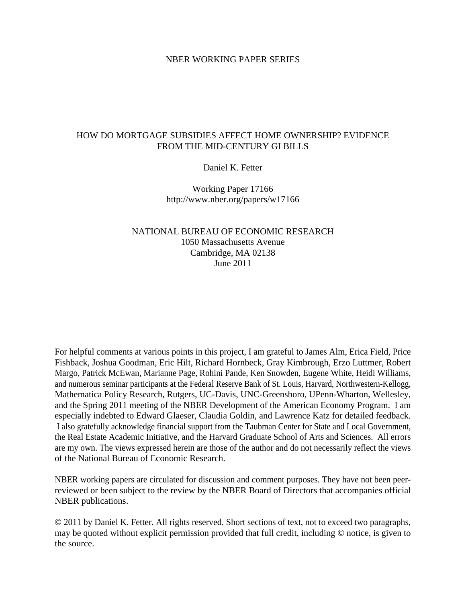### NBER WORKING PAPER SERIES

## HOW DO MORTGAGE SUBSIDIES AFFECT HOME OWNERSHIP? EVIDENCE FROM THE MID-CENTURY GI BILLS

### Daniel K. Fetter

Working Paper 17166 http://www.nber.org/papers/w17166

# NATIONAL BUREAU OF ECONOMIC RESEARCH 1050 Massachusetts Avenue Cambridge, MA 02138 June 2011

For helpful comments at various points in this project, I am grateful to James Alm, Erica Field, Price Fishback, Joshua Goodman, Eric Hilt, Richard Hornbeck, Gray Kimbrough, Erzo Luttmer, Robert Margo, Patrick McEwan, Marianne Page, Rohini Pande, Ken Snowden, Eugene White, Heidi Williams, and numerous seminar participants at the Federal Reserve Bank of St. Louis, Harvard, Northwestern-Kellogg, Mathematica Policy Research, Rutgers, UC-Davis, UNC-Greensboro, UPenn-Wharton, Wellesley, and the Spring 2011 meeting of the NBER Development of the American Economy Program. I am especially indebted to Edward Glaeser, Claudia Goldin, and Lawrence Katz for detailed feedback. I also gratefully acknowledge financial support from the Taubman Center for State and Local Government, the Real Estate Academic Initiative, and the Harvard Graduate School of Arts and Sciences. All errors are my own. The views expressed herein are those of the author and do not necessarily reflect the views of the National Bureau of Economic Research.

NBER working papers are circulated for discussion and comment purposes. They have not been peerreviewed or been subject to the review by the NBER Board of Directors that accompanies official NBER publications.

© 2011 by Daniel K. Fetter. All rights reserved. Short sections of text, not to exceed two paragraphs, may be quoted without explicit permission provided that full credit, including © notice, is given to the source.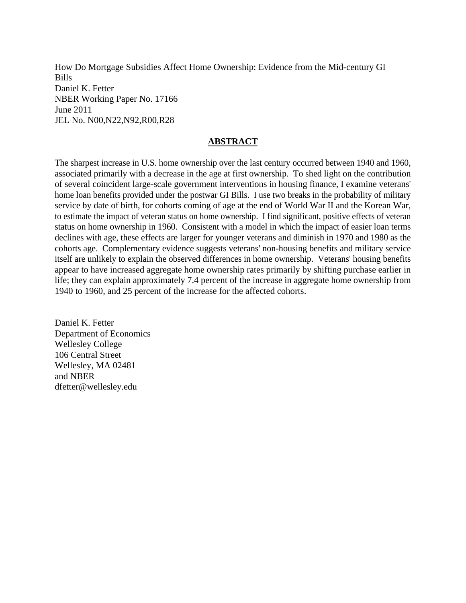How Do Mortgage Subsidies Affect Home Ownership: Evidence from the Mid-century GI Bills Daniel K. Fetter NBER Working Paper No. 17166 June 2011 JEL No. N00,N22,N92,R00,R28

# **ABSTRACT**

The sharpest increase in U.S. home ownership over the last century occurred between 1940 and 1960, associated primarily with a decrease in the age at first ownership. To shed light on the contribution of several coincident large-scale government interventions in housing finance, I examine veterans' home loan benefits provided under the postwar GI Bills. I use two breaks in the probability of military service by date of birth, for cohorts coming of age at the end of World War II and the Korean War, to estimate the impact of veteran status on home ownership. I find significant, positive effects of veteran status on home ownership in 1960. Consistent with a model in which the impact of easier loan terms declines with age, these effects are larger for younger veterans and diminish in 1970 and 1980 as the cohorts age. Complementary evidence suggests veterans' non-housing benefits and military service itself are unlikely to explain the observed differences in home ownership. Veterans' housing benefits appear to have increased aggregate home ownership rates primarily by shifting purchase earlier in life; they can explain approximately 7.4 percent of the increase in aggregate home ownership from 1940 to 1960, and 25 percent of the increase for the affected cohorts.

Daniel K. Fetter Department of Economics Wellesley College 106 Central Street Wellesley, MA 02481 and NBER dfetter@wellesley.edu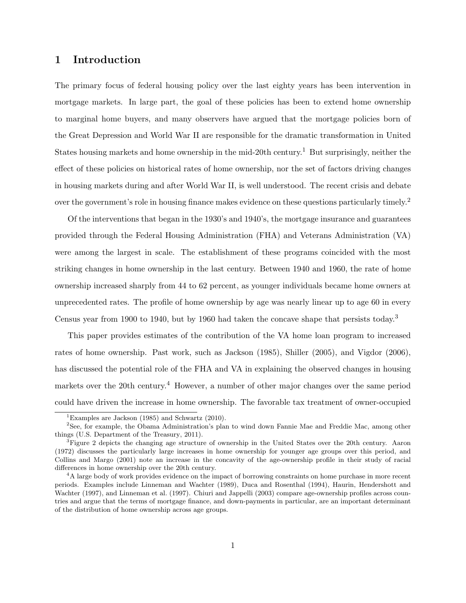# 1 Introduction

The primary focus of federal housing policy over the last eighty years has been intervention in mortgage markets. In large part, the goal of these policies has been to extend home ownership to marginal home buyers, and many observers have argued that the mortgage policies born of the Great Depression and World War II are responsible for the dramatic transformation in United States housing markets and home ownership in the mid-20th century.<sup>1</sup> But surprisingly, neither the effect of these policies on historical rates of home ownership, nor the set of factors driving changes in housing markets during and after World War II, is well understood. The recent crisis and debate over the government's role in housing finance makes evidence on these questions particularly timely.<sup>2</sup>

Of the interventions that began in the 1930's and 1940's, the mortgage insurance and guarantees provided through the Federal Housing Administration (FHA) and Veterans Administration (VA) were among the largest in scale. The establishment of these programs coincided with the most striking changes in home ownership in the last century. Between 1940 and 1960, the rate of home ownership increased sharply from 44 to 62 percent, as younger individuals became home owners at unprecedented rates. The profile of home ownership by age was nearly linear up to age 60 in every Census year from 1900 to 1940, but by 1960 had taken the concave shape that persists today.<sup>3</sup>

This paper provides estimates of the contribution of the VA home loan program to increased rates of home ownership. Past work, such as Jackson (1985), Shiller (2005), and Vigdor (2006), has discussed the potential role of the FHA and VA in explaining the observed changes in housing markets over the 20th century.<sup>4</sup> However, a number of other major changes over the same period could have driven the increase in home ownership. The favorable tax treatment of owner-occupied

<sup>&</sup>lt;sup>1</sup>Examples are Jackson (1985) and Schwartz (2010).

<sup>&</sup>lt;sup>2</sup>See, for example, the Obama Administration's plan to wind down Fannie Mae and Freddie Mac, among other things (U.S. Department of the Treasury, 2011).

<sup>&</sup>lt;sup>3</sup>Figure 2 depicts the changing age structure of ownership in the United States over the 20th century. Aaron (1972) discusses the particularly large increases in home ownership for younger age groups over this period, and Collins and Margo (2001) note an increase in the concavity of the age-ownership profile in their study of racial differences in home ownership over the 20th century.

<sup>&</sup>lt;sup>4</sup>A large body of work provides evidence on the impact of borrowing constraints on home purchase in more recent periods. Examples include Linneman and Wachter (1989), Duca and Rosenthal (1994), Haurin, Hendershott and Wachter (1997), and Linneman et al. (1997). Chiuri and Jappelli (2003) compare age-ownership profiles across countries and argue that the terms of mortgage finance, and down-payments in particular, are an important determinant of the distribution of home ownership across age groups.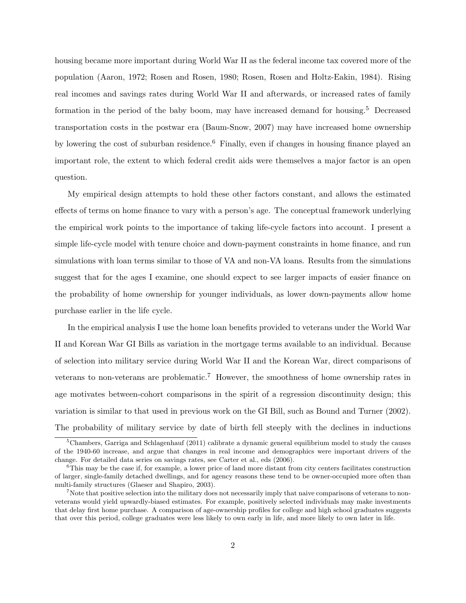housing became more important during World War II as the federal income tax covered more of the population (Aaron, 1972; Rosen and Rosen, 1980; Rosen, Rosen and Holtz-Eakin, 1984). Rising real incomes and savings rates during World War II and afterwards, or increased rates of family formation in the period of the baby boom, may have increased demand for housing.<sup>5</sup> Decreased transportation costs in the postwar era (Baum-Snow, 2007) may have increased home ownership by lowering the cost of suburban residence.<sup>6</sup> Finally, even if changes in housing finance played an important role, the extent to which federal credit aids were themselves a major factor is an open question.

My empirical design attempts to hold these other factors constant, and allows the estimated effects of terms on home finance to vary with a person's age. The conceptual framework underlying the empirical work points to the importance of taking life-cycle factors into account. I present a simple life-cycle model with tenure choice and down-payment constraints in home finance, and run simulations with loan terms similar to those of VA and non-VA loans. Results from the simulations suggest that for the ages I examine, one should expect to see larger impacts of easier finance on the probability of home ownership for younger individuals, as lower down-payments allow home purchase earlier in the life cycle.

In the empirical analysis I use the home loan benefits provided to veterans under the World War II and Korean War GI Bills as variation in the mortgage terms available to an individual. Because of selection into military service during World War II and the Korean War, direct comparisons of veterans to non-veterans are problematic.<sup>7</sup> However, the smoothness of home ownership rates in age motivates between-cohort comparisons in the spirit of a regression discontinuity design; this variation is similar to that used in previous work on the GI Bill, such as Bound and Turner (2002). The probability of military service by date of birth fell steeply with the declines in inductions

<sup>&</sup>lt;sup>5</sup>Chambers, Garriga and Schlagenhauf (2011) calibrate a dynamic general equilibrium model to study the causes of the 1940-60 increase, and argue that changes in real income and demographics were important drivers of the change. For detailed data series on savings rates, see Carter et al., eds (2006).

 $6$ This may be the case if, for example, a lower price of land more distant from city centers facilitates construction of larger, single-family detached dwellings, and for agency reasons these tend to be owner-occupied more often than multi-family structures (Glaeser and Shapiro, 2003).

<sup>&</sup>lt;sup>7</sup>Note that positive selection into the military does not necessarily imply that naive comparisons of veterans to nonveterans would yield upwardly-biased estimates. For example, positively selected individuals may make investments that delay first home purchase. A comparison of age-ownership profiles for college and high school graduates suggests that over this period, college graduates were less likely to own early in life, and more likely to own later in life.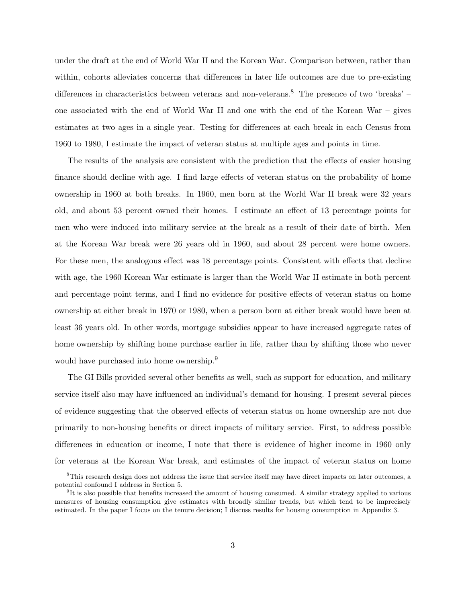under the draft at the end of World War II and the Korean War. Comparison between, rather than within, cohorts alleviates concerns that differences in later life outcomes are due to pre-existing differences in characteristics between veterans and non-veterans.<sup>8</sup> The presence of two 'breaks' – one associated with the end of World War II and one with the end of the Korean War – gives estimates at two ages in a single year. Testing for differences at each break in each Census from 1960 to 1980, I estimate the impact of veteran status at multiple ages and points in time.

The results of the analysis are consistent with the prediction that the effects of easier housing finance should decline with age. I find large effects of veteran status on the probability of home ownership in 1960 at both breaks. In 1960, men born at the World War II break were 32 years old, and about 53 percent owned their homes. I estimate an effect of 13 percentage points for men who were induced into military service at the break as a result of their date of birth. Men at the Korean War break were 26 years old in 1960, and about 28 percent were home owners. For these men, the analogous effect was 18 percentage points. Consistent with effects that decline with age, the 1960 Korean War estimate is larger than the World War II estimate in both percent and percentage point terms, and I find no evidence for positive effects of veteran status on home ownership at either break in 1970 or 1980, when a person born at either break would have been at least 36 years old. In other words, mortgage subsidies appear to have increased aggregate rates of home ownership by shifting home purchase earlier in life, rather than by shifting those who never would have purchased into home ownership.<sup>9</sup>

The GI Bills provided several other benefits as well, such as support for education, and military service itself also may have influenced an individual's demand for housing. I present several pieces of evidence suggesting that the observed effects of veteran status on home ownership are not due primarily to non-housing benefits or direct impacts of military service. First, to address possible differences in education or income, I note that there is evidence of higher income in 1960 only for veterans at the Korean War break, and estimates of the impact of veteran status on home

<sup>&</sup>lt;sup>8</sup>This research design does not address the issue that service itself may have direct impacts on later outcomes, a potential confound I address in Section 5.

<sup>9</sup> It is also possible that benefits increased the amount of housing consumed. A similar strategy applied to various measures of housing consumption give estimates with broadly similar trends, but which tend to be imprecisely estimated. In the paper I focus on the tenure decision; I discuss results for housing consumption in Appendix 3.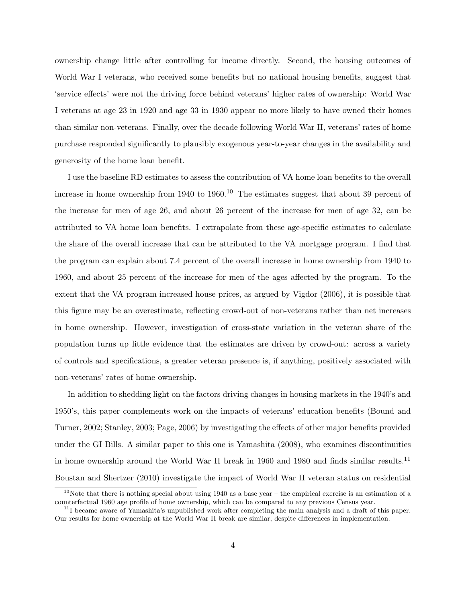ownership change little after controlling for income directly. Second, the housing outcomes of World War I veterans, who received some benefits but no national housing benefits, suggest that 'service effects' were not the driving force behind veterans' higher rates of ownership: World War I veterans at age 23 in 1920 and age 33 in 1930 appear no more likely to have owned their homes than similar non-veterans. Finally, over the decade following World War II, veterans' rates of home purchase responded significantly to plausibly exogenous year-to-year changes in the availability and generosity of the home loan benefit.

I use the baseline RD estimates to assess the contribution of VA home loan benefits to the overall increase in home ownership from 1940 to 1960.<sup>10</sup> The estimates suggest that about 39 percent of the increase for men of age 26, and about 26 percent of the increase for men of age 32, can be attributed to VA home loan benefits. I extrapolate from these age-specific estimates to calculate the share of the overall increase that can be attributed to the VA mortgage program. I find that the program can explain about 7.4 percent of the overall increase in home ownership from 1940 to 1960, and about 25 percent of the increase for men of the ages affected by the program. To the extent that the VA program increased house prices, as argued by Vigdor (2006), it is possible that this figure may be an overestimate, reflecting crowd-out of non-veterans rather than net increases in home ownership. However, investigation of cross-state variation in the veteran share of the population turns up little evidence that the estimates are driven by crowd-out: across a variety of controls and specifications, a greater veteran presence is, if anything, positively associated with non-veterans' rates of home ownership.

In addition to shedding light on the factors driving changes in housing markets in the 1940's and 1950's, this paper complements work on the impacts of veterans' education benefits (Bound and Turner, 2002; Stanley, 2003; Page, 2006) by investigating the effects of other major benefits provided under the GI Bills. A similar paper to this one is Yamashita (2008), who examines discontinuities in home ownership around the World War II break in 1960 and 1980 and finds similar results.<sup>11</sup> Boustan and Shertzer (2010) investigate the impact of World War II veteran status on residential

 $10$ Note that there is nothing special about using 1940 as a base year – the empirical exercise is an estimation of a counterfactual 1960 age profile of home ownership, which can be compared to any previous Census year.

<sup>&</sup>lt;sup>11</sup>I became aware of Yamashita's unpublished work after completing the main analysis and a draft of this paper. Our results for home ownership at the World War II break are similar, despite differences in implementation.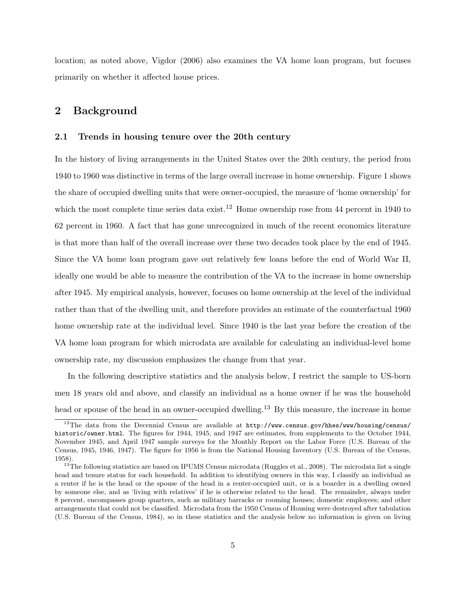location; as noted above, Vigdor (2006) also examines the VA home loan program, but focuses primarily on whether it affected house prices.

# 2 Background

#### 2.1 Trends in housing tenure over the 20th century

In the history of living arrangements in the United States over the 20th century, the period from 1940 to 1960 was distinctive in terms of the large overall increase in home ownership. Figure 1 shows the share of occupied dwelling units that were owner-occupied, the measure of 'home ownership' for which the most complete time series data exist.<sup>12</sup> Home ownership rose from 44 percent in 1940 to 62 percent in 1960. A fact that has gone unrecognized in much of the recent economics literature is that more than half of the overall increase over these two decades took place by the end of 1945. Since the VA home loan program gave out relatively few loans before the end of World War II, ideally one would be able to measure the contribution of the VA to the increase in home ownership after 1945. My empirical analysis, however, focuses on home ownership at the level of the individual rather than that of the dwelling unit, and therefore provides an estimate of the counterfactual 1960 home ownership rate at the individual level. Since 1940 is the last year before the creation of the VA home loan program for which microdata are available for calculating an individual-level home ownership rate, my discussion emphasizes the change from that year.

In the following descriptive statistics and the analysis below, I restrict the sample to US-born men 18 years old and above, and classify an individual as a home owner if he was the household head or spouse of the head in an owner-occupied dwelling.<sup>13</sup> By this measure, the increase in home

<sup>&</sup>lt;sup>12</sup>The data from the Decennial Census are available at  $http://www.census.gov/hhes/www/housing/census/$ historic/owner.html. The figures for 1944, 1945, and 1947 are estimates, from supplements to the October 1944, November 1945, and April 1947 sample surveys for the Monthly Report on the Labor Force (U.S. Bureau of the Census, 1945, 1946, 1947). The figure for 1956 is from the National Housing Inventory (U.S. Bureau of the Census, 1958).

 $13$ <sup>The following statistics are based on IPUMS Census microdata (Ruggles et al., 2008). The microdata list a single</sup> head and tenure status for each household. In addition to identifying owners in this way, I classify an individual as a renter if he is the head or the spouse of the head in a renter-occupied unit, or is a boarder in a dwelling owned by someone else, and as 'living with relatives' if he is otherwise related to the head. The remainder, always under 8 percent, encompasses group quarters, such as military barracks or rooming houses; domestic employees; and other arrangements that could not be classified. Microdata from the 1950 Census of Housing were destroyed after tabulation (U.S. Bureau of the Census, 1984), so in these statistics and the analysis below no information is given on living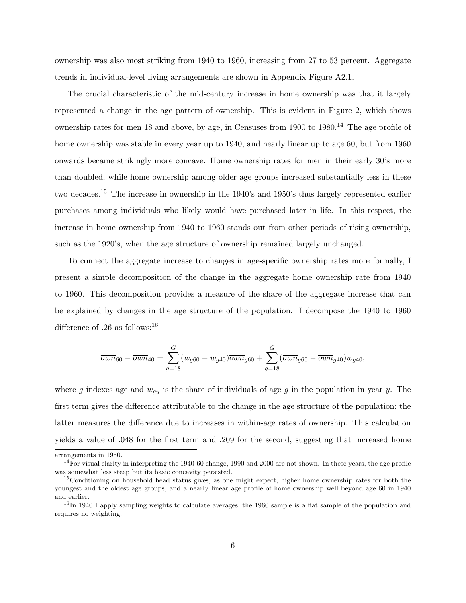ownership was also most striking from 1940 to 1960, increasing from 27 to 53 percent. Aggregate trends in individual-level living arrangements are shown in Appendix Figure A2.1.

The crucial characteristic of the mid-century increase in home ownership was that it largely represented a change in the age pattern of ownership. This is evident in Figure 2, which shows ownership rates for men 18 and above, by age, in Censuses from 1900 to 1980.<sup>14</sup> The age profile of home ownership was stable in every year up to 1940, and nearly linear up to age 60, but from 1960 onwards became strikingly more concave. Home ownership rates for men in their early 30's more than doubled, while home ownership among older age groups increased substantially less in these two decades.<sup>15</sup> The increase in ownership in the 1940's and 1950's thus largely represented earlier purchases among individuals who likely would have purchased later in life. In this respect, the increase in home ownership from 1940 to 1960 stands out from other periods of rising ownership, such as the 1920's, when the age structure of ownership remained largely unchanged.

To connect the aggregate increase to changes in age-specific ownership rates more formally, I present a simple decomposition of the change in the aggregate home ownership rate from 1940 to 1960. This decomposition provides a measure of the share of the aggregate increase that can be explained by changes in the age structure of the population. I decompose the 1940 to 1960 difference of .26 as follows:  $16$ 

$$
\overline{own}_{60} - \overline{own}_{40} = \sum_{g=18}^{G} (w_{g60} - w_{g40}) \overline{own}_{g60} + \sum_{g=18}^{G} (\overline{own}_{g60} - \overline{own}_{g40}) w_{g40},
$$

where g indexes age and  $w_{qu}$  is the share of individuals of age g in the population in year y. The first term gives the difference attributable to the change in the age structure of the population; the latter measures the difference due to increases in within-age rates of ownership. This calculation yields a value of .048 for the first term and .209 for the second, suggesting that increased home

arrangements in 1950.

 $14$ For visual clarity in interpreting the 1940-60 change, 1990 and 2000 are not shown. In these years, the age profile was somewhat less steep but its basic concavity persisted.

<sup>&</sup>lt;sup>15</sup>Conditioning on household head status gives, as one might expect, higher home ownership rates for both the youngest and the oldest age groups, and a nearly linear age profile of home ownership well beyond age 60 in 1940 and earlier.

<sup>&</sup>lt;sup>16</sup>In 1940 I apply sampling weights to calculate averages; the 1960 sample is a flat sample of the population and requires no weighting.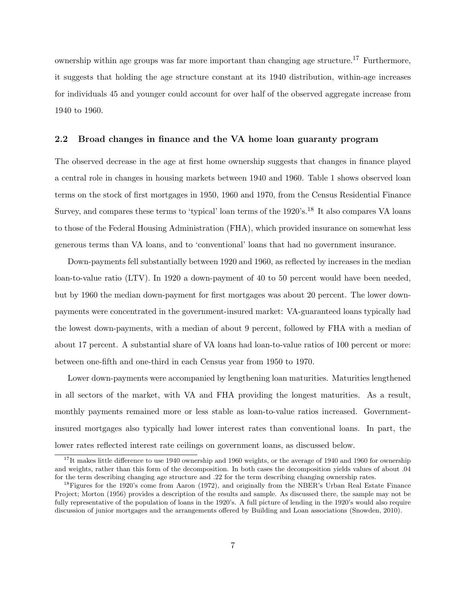ownership within age groups was far more important than changing age structure.<sup>17</sup> Furthermore, it suggests that holding the age structure constant at its 1940 distribution, within-age increases for individuals 45 and younger could account for over half of the observed aggregate increase from 1940 to 1960.

### 2.2 Broad changes in finance and the VA home loan guaranty program

The observed decrease in the age at first home ownership suggests that changes in finance played a central role in changes in housing markets between 1940 and 1960. Table 1 shows observed loan terms on the stock of first mortgages in 1950, 1960 and 1970, from the Census Residential Finance Survey, and compares these terms to 'typical' loan terms of the 1920's.<sup>18</sup> It also compares VA loans to those of the Federal Housing Administration (FHA), which provided insurance on somewhat less generous terms than VA loans, and to 'conventional' loans that had no government insurance.

Down-payments fell substantially between 1920 and 1960, as reflected by increases in the median loan-to-value ratio (LTV). In 1920 a down-payment of 40 to 50 percent would have been needed, but by 1960 the median down-payment for first mortgages was about 20 percent. The lower downpayments were concentrated in the government-insured market: VA-guaranteed loans typically had the lowest down-payments, with a median of about 9 percent, followed by FHA with a median of about 17 percent. A substantial share of VA loans had loan-to-value ratios of 100 percent or more: between one-fifth and one-third in each Census year from 1950 to 1970.

Lower down-payments were accompanied by lengthening loan maturities. Maturities lengthened in all sectors of the market, with VA and FHA providing the longest maturities. As a result, monthly payments remained more or less stable as loan-to-value ratios increased. Governmentinsured mortgages also typically had lower interest rates than conventional loans. In part, the lower rates reflected interest rate ceilings on government loans, as discussed below.

<sup>&</sup>lt;sup>17</sup>It makes little difference to use 1940 ownership and 1960 weights, or the average of 1940 and 1960 for ownership and weights, rather than this form of the decomposition. In both cases the decomposition yields values of about .04 for the term describing changing age structure and .22 for the term describing changing ownership rates.

<sup>&</sup>lt;sup>18</sup>Figures for the 1920's come from Aaron (1972), and originally from the NBER's Urban Real Estate Finance Project; Morton (1956) provides a description of the results and sample. As discussed there, the sample may not be fully representative of the population of loans in the 1920's. A full picture of lending in the 1920's would also require discussion of junior mortgages and the arrangements offered by Building and Loan associations (Snowden, 2010).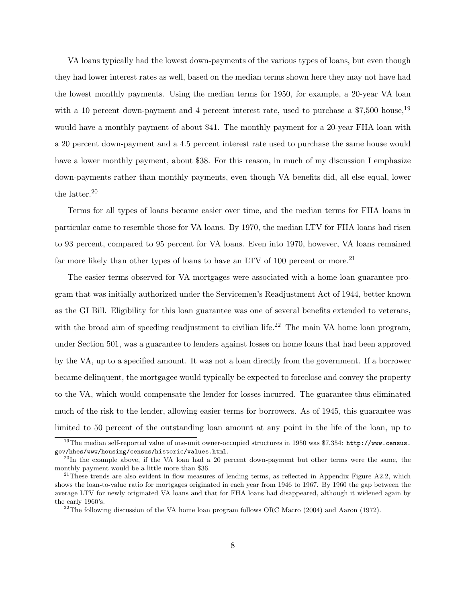VA loans typically had the lowest down-payments of the various types of loans, but even though they had lower interest rates as well, based on the median terms shown here they may not have had the lowest monthly payments. Using the median terms for 1950, for example, a 20-year VA loan with a 10 percent down-payment and 4 percent interest rate, used to purchase a  $\$7,500$  house,<sup>19</sup> would have a monthly payment of about \$41. The monthly payment for a 20-year FHA loan with a 20 percent down-payment and a 4.5 percent interest rate used to purchase the same house would have a lower monthly payment, about \$38. For this reason, in much of my discussion I emphasize down-payments rather than monthly payments, even though VA benefits did, all else equal, lower the latter.<sup>20</sup>

Terms for all types of loans became easier over time, and the median terms for FHA loans in particular came to resemble those for VA loans. By 1970, the median LTV for FHA loans had risen to 93 percent, compared to 95 percent for VA loans. Even into 1970, however, VA loans remained far more likely than other types of loans to have an LTV of 100 percent or more.<sup>21</sup>

The easier terms observed for VA mortgages were associated with a home loan guarantee program that was initially authorized under the Servicemen's Readjustment Act of 1944, better known as the GI Bill. Eligibility for this loan guarantee was one of several benefits extended to veterans, with the broad aim of speeding readjustment to civilian life.<sup>22</sup> The main VA home loan program, under Section 501, was a guarantee to lenders against losses on home loans that had been approved by the VA, up to a specified amount. It was not a loan directly from the government. If a borrower became delinquent, the mortgagee would typically be expected to foreclose and convey the property to the VA, which would compensate the lender for losses incurred. The guarantee thus eliminated much of the risk to the lender, allowing easier terms for borrowers. As of 1945, this guarantee was limited to 50 percent of the outstanding loan amount at any point in the life of the loan, up to

<sup>&</sup>lt;sup>19</sup>The median self-reported value of one-unit owner-occupied structures in 1950 was \$7,354: http://www.census. gov/hhes/www/housing/census/historic/values.html.

 $^{20}$ In the example above, if the VA loan had a 20 percent down-payment but other terms were the same, the monthly payment would be a little more than \$36.

 $21$ These trends are also evident in flow measures of lending terms, as reflected in Appendix Figure A2.2, which shows the loan-to-value ratio for mortgages originated in each year from 1946 to 1967. By 1960 the gap between the average LTV for newly originated VA loans and that for FHA loans had disappeared, although it widened again by the early 1960's.

 $22$ <sup>22</sup>The following discussion of the VA home loan program follows ORC Macro (2004) and Aaron (1972).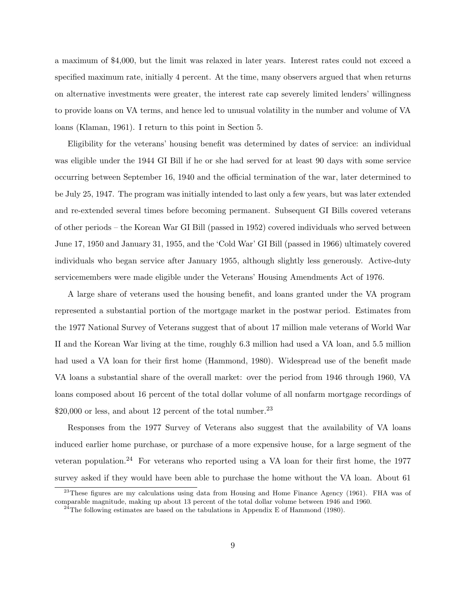a maximum of \$4,000, but the limit was relaxed in later years. Interest rates could not exceed a specified maximum rate, initially 4 percent. At the time, many observers argued that when returns on alternative investments were greater, the interest rate cap severely limited lenders' willingness to provide loans on VA terms, and hence led to unusual volatility in the number and volume of VA loans (Klaman, 1961). I return to this point in Section 5.

Eligibility for the veterans' housing benefit was determined by dates of service: an individual was eligible under the 1944 GI Bill if he or she had served for at least 90 days with some service occurring between September 16, 1940 and the official termination of the war, later determined to be July 25, 1947. The program was initially intended to last only a few years, but was later extended and re-extended several times before becoming permanent. Subsequent GI Bills covered veterans of other periods – the Korean War GI Bill (passed in 1952) covered individuals who served between June 17, 1950 and January 31, 1955, and the 'Cold War' GI Bill (passed in 1966) ultimately covered individuals who began service after January 1955, although slightly less generously. Active-duty servicemembers were made eligible under the Veterans' Housing Amendments Act of 1976.

A large share of veterans used the housing benefit, and loans granted under the VA program represented a substantial portion of the mortgage market in the postwar period. Estimates from the 1977 National Survey of Veterans suggest that of about 17 million male veterans of World War II and the Korean War living at the time, roughly 6.3 million had used a VA loan, and 5.5 million had used a VA loan for their first home (Hammond, 1980). Widespread use of the benefit made VA loans a substantial share of the overall market: over the period from 1946 through 1960, VA loans composed about 16 percent of the total dollar volume of all nonfarm mortgage recordings of  $$20,000$  or less, and about 12 percent of the total number.<sup>23</sup>

Responses from the 1977 Survey of Veterans also suggest that the availability of VA loans induced earlier home purchase, or purchase of a more expensive house, for a large segment of the veteran population.<sup>24</sup> For veterans who reported using a VA loan for their first home, the 1977 survey asked if they would have been able to purchase the home without the VA loan. About 61

<sup>&</sup>lt;sup>23</sup>These figures are my calculations using data from Housing and Home Finance Agency (1961). FHA was of comparable magnitude, making up about 13 percent of the total dollar volume between 1946 and 1960.

 $24$ The following estimates are based on the tabulations in Appendix E of Hammond (1980).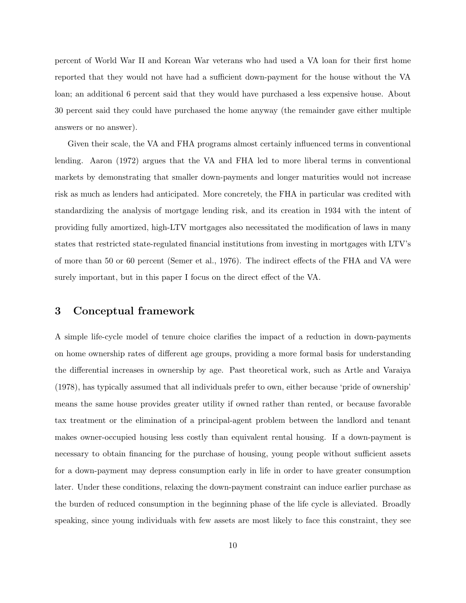percent of World War II and Korean War veterans who had used a VA loan for their first home reported that they would not have had a sufficient down-payment for the house without the VA loan; an additional 6 percent said that they would have purchased a less expensive house. About 30 percent said they could have purchased the home anyway (the remainder gave either multiple answers or no answer).

Given their scale, the VA and FHA programs almost certainly influenced terms in conventional lending. Aaron (1972) argues that the VA and FHA led to more liberal terms in conventional markets by demonstrating that smaller down-payments and longer maturities would not increase risk as much as lenders had anticipated. More concretely, the FHA in particular was credited with standardizing the analysis of mortgage lending risk, and its creation in 1934 with the intent of providing fully amortized, high-LTV mortgages also necessitated the modification of laws in many states that restricted state-regulated financial institutions from investing in mortgages with LTV's of more than 50 or 60 percent (Semer et al., 1976). The indirect effects of the FHA and VA were surely important, but in this paper I focus on the direct effect of the VA.

# 3 Conceptual framework

A simple life-cycle model of tenure choice clarifies the impact of a reduction in down-payments on home ownership rates of different age groups, providing a more formal basis for understanding the differential increases in ownership by age. Past theoretical work, such as Artle and Varaiya (1978), has typically assumed that all individuals prefer to own, either because 'pride of ownership' means the same house provides greater utility if owned rather than rented, or because favorable tax treatment or the elimination of a principal-agent problem between the landlord and tenant makes owner-occupied housing less costly than equivalent rental housing. If a down-payment is necessary to obtain financing for the purchase of housing, young people without sufficient assets for a down-payment may depress consumption early in life in order to have greater consumption later. Under these conditions, relaxing the down-payment constraint can induce earlier purchase as the burden of reduced consumption in the beginning phase of the life cycle is alleviated. Broadly speaking, since young individuals with few assets are most likely to face this constraint, they see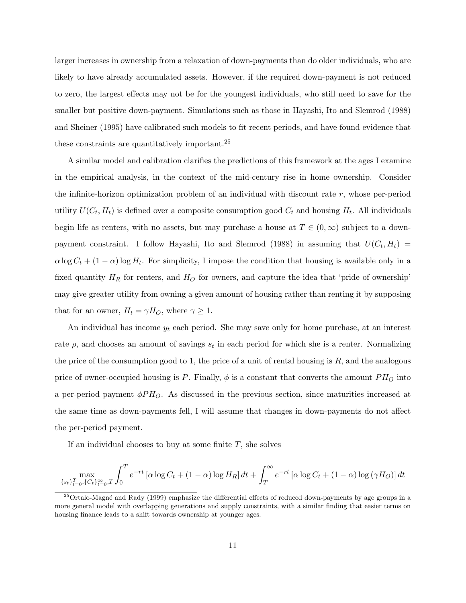larger increases in ownership from a relaxation of down-payments than do older individuals, who are likely to have already accumulated assets. However, if the required down-payment is not reduced to zero, the largest effects may not be for the youngest individuals, who still need to save for the smaller but positive down-payment. Simulations such as those in Hayashi, Ito and Slemrod (1988) and Sheiner (1995) have calibrated such models to fit recent periods, and have found evidence that these constraints are quantitatively important.<sup>25</sup>

A similar model and calibration clarifies the predictions of this framework at the ages I examine in the empirical analysis, in the context of the mid-century rise in home ownership. Consider the infinite-horizon optimization problem of an individual with discount rate  $r$ , whose per-period utility  $U(C_t, H_t)$  is defined over a composite consumption good  $C_t$  and housing  $H_t$ . All individuals begin life as renters, with no assets, but may purchase a house at  $T \in (0,\infty)$  subject to a downpayment constraint. I follow Hayashi, Ito and Slemrod (1988) in assuming that  $U(C_t, H_t)$  =  $\alpha \log C_t + (1 - \alpha) \log H_t$ . For simplicity, I impose the condition that housing is available only in a fixed quantity  $H_R$  for renters, and  $H_O$  for owners, and capture the idea that 'pride of ownership' may give greater utility from owning a given amount of housing rather than renting it by supposing that for an owner,  $H_t = \gamma H_O$ , where  $\gamma \geq 1$ .

An individual has income  $y_t$  each period. She may save only for home purchase, at an interest rate  $\rho$ , and chooses an amount of savings  $s_t$  in each period for which she is a renter. Normalizing the price of the consumption good to 1, the price of a unit of rental housing is  $R$ , and the analogous price of owner-occupied housing is P. Finally,  $\phi$  is a constant that converts the amount  $PH<sub>O</sub>$  into a per-period payment  $\phi P H_O$ . As discussed in the previous section, since maturities increased at the same time as down-payments fell, I will assume that changes in down-payments do not affect the per-period payment.

If an individual chooses to buy at some finite  $T$ , she solves

$$
\max_{\{s_t\}_{t=0}^T, \{C_t\}_{t=0}^\infty, T} \int_0^T e^{-rt} \left[ \alpha \log C_t + (1 - \alpha) \log H_R \right] dt + \int_T^\infty e^{-rt} \left[ \alpha \log C_t + (1 - \alpha) \log (\gamma H_O) \right] dt
$$

<sup>&</sup>lt;sup>25</sup>Ortalo-Magné and Rady (1999) emphasize the differential effects of reduced down-payments by age groups in a more general model with overlapping generations and supply constraints, with a similar finding that easier terms on housing finance leads to a shift towards ownership at younger ages.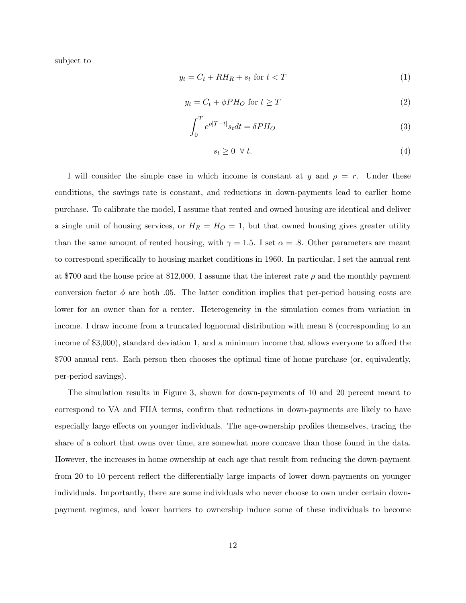subject to

$$
y_t = C_t + RH_R + s_t \text{ for } t < T \tag{1}
$$

$$
y_t = C_t + \phi P H_O \text{ for } t \ge T \tag{2}
$$

$$
\int_0^T e^{\rho [T-t]} s_t dt = \delta PH_O \tag{3}
$$

$$
s_t \geq 0 \ \forall \ t. \tag{4}
$$

I will consider the simple case in which income is constant at y and  $\rho = r$ . Under these conditions, the savings rate is constant, and reductions in down-payments lead to earlier home purchase. To calibrate the model, I assume that rented and owned housing are identical and deliver a single unit of housing services, or  $H_R = H_O = 1$ , but that owned housing gives greater utility than the same amount of rented housing, with  $\gamma = 1.5$ . I set  $\alpha = .8$ . Other parameters are meant to correspond specifically to housing market conditions in 1960. In particular, I set the annual rent at \$700 and the house price at \$12,000. I assume that the interest rate  $\rho$  and the monthly payment conversion factor  $\phi$  are both .05. The latter condition implies that per-period housing costs are lower for an owner than for a renter. Heterogeneity in the simulation comes from variation in income. I draw income from a truncated lognormal distribution with mean 8 (corresponding to an income of \$3,000), standard deviation 1, and a minimum income that allows everyone to afford the \$700 annual rent. Each person then chooses the optimal time of home purchase (or, equivalently, per-period savings).

The simulation results in Figure 3, shown for down-payments of 10 and 20 percent meant to correspond to VA and FHA terms, confirm that reductions in down-payments are likely to have especially large effects on younger individuals. The age-ownership profiles themselves, tracing the share of a cohort that owns over time, are somewhat more concave than those found in the data. However, the increases in home ownership at each age that result from reducing the down-payment from 20 to 10 percent reflect the differentially large impacts of lower down-payments on younger individuals. Importantly, there are some individuals who never choose to own under certain downpayment regimes, and lower barriers to ownership induce some of these individuals to become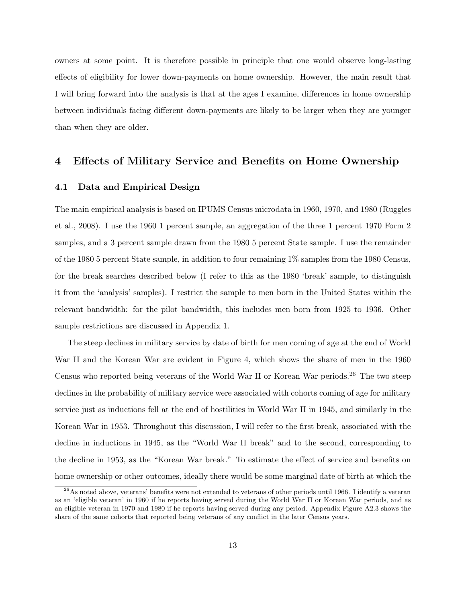owners at some point. It is therefore possible in principle that one would observe long-lasting effects of eligibility for lower down-payments on home ownership. However, the main result that I will bring forward into the analysis is that at the ages I examine, differences in home ownership between individuals facing different down-payments are likely to be larger when they are younger than when they are older.

### 4 Effects of Military Service and Benefits on Home Ownership

#### 4.1 Data and Empirical Design

The main empirical analysis is based on IPUMS Census microdata in 1960, 1970, and 1980 (Ruggles et al., 2008). I use the 1960 1 percent sample, an aggregation of the three 1 percent 1970 Form 2 samples, and a 3 percent sample drawn from the 1980 5 percent State sample. I use the remainder of the 1980 5 percent State sample, in addition to four remaining 1% samples from the 1980 Census, for the break searches described below (I refer to this as the 1980 'break' sample, to distinguish it from the 'analysis' samples). I restrict the sample to men born in the United States within the relevant bandwidth: for the pilot bandwidth, this includes men born from 1925 to 1936. Other sample restrictions are discussed in Appendix 1.

The steep declines in military service by date of birth for men coming of age at the end of World War II and the Korean War are evident in Figure 4, which shows the share of men in the 1960 Census who reported being veterans of the World War II or Korean War periods.<sup>26</sup> The two steep declines in the probability of military service were associated with cohorts coming of age for military service just as inductions fell at the end of hostilities in World War II in 1945, and similarly in the Korean War in 1953. Throughout this discussion, I will refer to the first break, associated with the decline in inductions in 1945, as the "World War II break" and to the second, corresponding to the decline in 1953, as the "Korean War break." To estimate the effect of service and benefits on home ownership or other outcomes, ideally there would be some marginal date of birth at which the

 $^{26}$ As noted above, veterans' benefits were not extended to veterans of other periods until 1966. I identify a veteran as an 'eligible veteran' in 1960 if he reports having served during the World War II or Korean War periods, and as an eligible veteran in 1970 and 1980 if he reports having served during any period. Appendix Figure A2.3 shows the share of the same cohorts that reported being veterans of any conflict in the later Census years.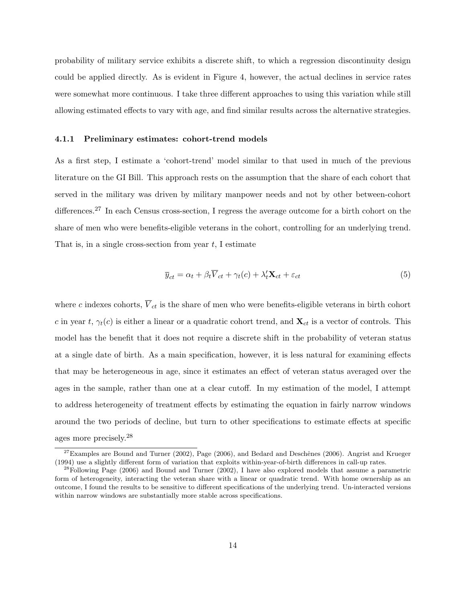probability of military service exhibits a discrete shift, to which a regression discontinuity design could be applied directly. As is evident in Figure 4, however, the actual declines in service rates were somewhat more continuous. I take three different approaches to using this variation while still allowing estimated effects to vary with age, and find similar results across the alternative strategies.

### 4.1.1 Preliminary estimates: cohort-trend models

As a first step, I estimate a 'cohort-trend' model similar to that used in much of the previous literature on the GI Bill. This approach rests on the assumption that the share of each cohort that served in the military was driven by military manpower needs and not by other between-cohort differences.<sup>27</sup> In each Census cross-section, I regress the average outcome for a birth cohort on the share of men who were benefits-eligible veterans in the cohort, controlling for an underlying trend. That is, in a single cross-section from year  $t$ , I estimate

$$
\overline{y}_{ct} = \alpha_t + \beta_t \overline{V}_{ct} + \gamma_t(c) + \lambda_t' \mathbf{X}_{ct} + \varepsilon_{ct}
$$
\n(5)

where c indexes cohorts,  $\overline{V}_{ct}$  is the share of men who were benefits-eligible veterans in birth cohort c in year t,  $\gamma_t(c)$  is either a linear or a quadratic cohort trend, and  $\mathbf{X}_{ct}$  is a vector of controls. This model has the benefit that it does not require a discrete shift in the probability of veteran status at a single date of birth. As a main specification, however, it is less natural for examining effects that may be heterogeneous in age, since it estimates an effect of veteran status averaged over the ages in the sample, rather than one at a clear cutoff. In my estimation of the model, I attempt to address heterogeneity of treatment effects by estimating the equation in fairly narrow windows around the two periods of decline, but turn to other specifications to estimate effects at specific ages more precisely.<sup>28</sup>

 $^{27}$ Examples are Bound and Turner (2002), Page (2006), and Bedard and Deschênes (2006). Angrist and Krueger (1994) use a slightly different form of variation that exploits within-year-of-birth differences in call-up rates.

<sup>&</sup>lt;sup>28</sup>Following Page (2006) and Bound and Turner (2002), I have also explored models that assume a parametric form of heterogeneity, interacting the veteran share with a linear or quadratic trend. With home ownership as an outcome, I found the results to be sensitive to different specifications of the underlying trend. Un-interacted versions within narrow windows are substantially more stable across specifications.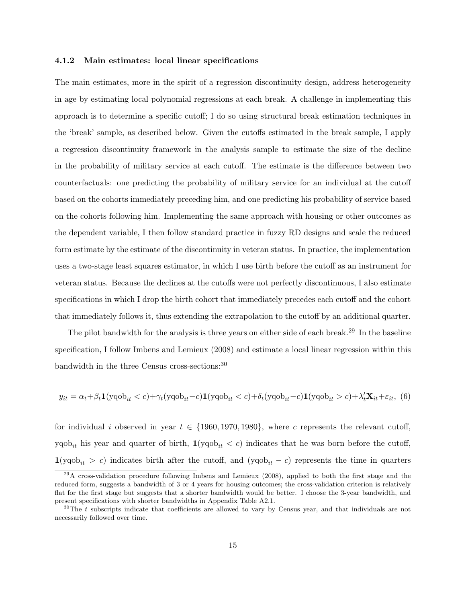#### 4.1.2 Main estimates: local linear specifications

The main estimates, more in the spirit of a regression discontinuity design, address heterogeneity in age by estimating local polynomial regressions at each break. A challenge in implementing this approach is to determine a specific cutoff; I do so using structural break estimation techniques in the 'break' sample, as described below. Given the cutoffs estimated in the break sample, I apply a regression discontinuity framework in the analysis sample to estimate the size of the decline in the probability of military service at each cutoff. The estimate is the difference between two counterfactuals: one predicting the probability of military service for an individual at the cutoff based on the cohorts immediately preceding him, and one predicting his probability of service based on the cohorts following him. Implementing the same approach with housing or other outcomes as the dependent variable, I then follow standard practice in fuzzy RD designs and scale the reduced form estimate by the estimate of the discontinuity in veteran status. In practice, the implementation uses a two-stage least squares estimator, in which I use birth before the cutoff as an instrument for veteran status. Because the declines at the cutoffs were not perfectly discontinuous, I also estimate specifications in which I drop the birth cohort that immediately precedes each cutoff and the cohort that immediately follows it, thus extending the extrapolation to the cutoff by an additional quarter.

The pilot bandwidth for the analysis is three years on either side of each break.<sup>29</sup> In the baseline specification, I follow Imbens and Lemieux (2008) and estimate a local linear regression within this bandwidth in the three Census cross-sections:<sup>30</sup>

$$
y_{it} = \alpha_t + \beta_t \mathbf{1}(\text{yqob}_{it} < c) + \gamma_t(\text{yqob}_{it} - c)\mathbf{1}(\text{yqob}_{it} < c) + \delta_t(\text{yqob}_{it} - c)\mathbf{1}(\text{yqob}_{it} > c) + \lambda_t' \mathbf{X}_{it} + \varepsilon_{it},
$$
 (6)

for individual i observed in year  $t \in \{1960, 1970, 1980\}$ , where c represents the relevant cutoff, yqob<sub>it</sub> his year and quarter of birth,  $\mathbf{1}(yqob_{it} < c)$  indicates that he was born before the cutoff,  $1(yqob_{it} > c)$  indicates birth after the cutoff, and  $(yqob_{it} - c)$  represents the time in quarters

<sup>&</sup>lt;sup>29</sup>A cross-validation procedure following Imbens and Lemieux (2008), applied to both the first stage and the reduced form, suggests a bandwidth of 3 or 4 years for housing outcomes; the cross-validation criterion is relatively flat for the first stage but suggests that a shorter bandwidth would be better. I choose the 3-year bandwidth, and present specifications with shorter bandwidths in Appendix Table A2.1.

<sup>&</sup>lt;sup>30</sup>The t subscripts indicate that coefficients are allowed to vary by Census year, and that individuals are not necessarily followed over time.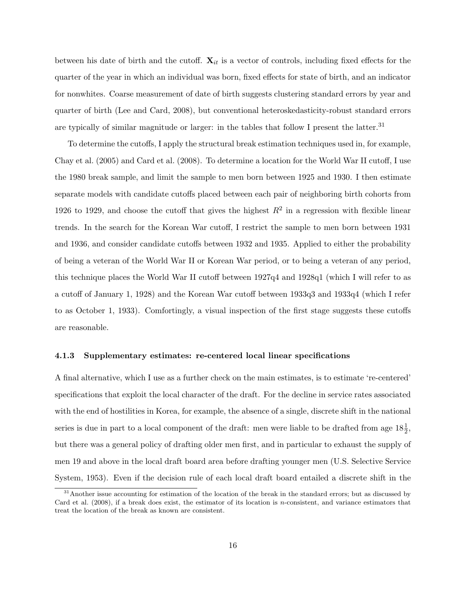between his date of birth and the cutoff.  $\mathbf{X}_{it}$  is a vector of controls, including fixed effects for the quarter of the year in which an individual was born, fixed effects for state of birth, and an indicator for nonwhites. Coarse measurement of date of birth suggests clustering standard errors by year and quarter of birth (Lee and Card, 2008), but conventional heteroskedasticity-robust standard errors are typically of similar magnitude or larger: in the tables that follow I present the latter.<sup>31</sup>

To determine the cutoffs, I apply the structural break estimation techniques used in, for example, Chay et al. (2005) and Card et al. (2008). To determine a location for the World War II cutoff, I use the 1980 break sample, and limit the sample to men born between 1925 and 1930. I then estimate separate models with candidate cutoffs placed between each pair of neighboring birth cohorts from 1926 to 1929, and choose the cutoff that gives the highest  $R^2$  in a regression with flexible linear trends. In the search for the Korean War cutoff, I restrict the sample to men born between 1931 and 1936, and consider candidate cutoffs between 1932 and 1935. Applied to either the probability of being a veteran of the World War II or Korean War period, or to being a veteran of any period, this technique places the World War II cutoff between 1927q4 and 1928q1 (which I will refer to as a cutoff of January 1, 1928) and the Korean War cutoff between 1933q3 and 1933q4 (which I refer to as October 1, 1933). Comfortingly, a visual inspection of the first stage suggests these cutoffs are reasonable.

#### 4.1.3 Supplementary estimates: re-centered local linear specifications

A final alternative, which I use as a further check on the main estimates, is to estimate 're-centered' specifications that exploit the local character of the draft. For the decline in service rates associated with the end of hostilities in Korea, for example, the absence of a single, discrete shift in the national series is due in part to a local component of the draft: men were liable to be drafted from age  $18\frac{1}{2}$ , but there was a general policy of drafting older men first, and in particular to exhaust the supply of men 19 and above in the local draft board area before drafting younger men (U.S. Selective Service System, 1953). Even if the decision rule of each local draft board entailed a discrete shift in the

 $31$ Another issue accounting for estimation of the location of the break in the standard errors; but as discussed by Card et al.  $(2008)$ , if a break does exist, the estimator of its location is *n*-consistent, and variance estimators that treat the location of the break as known are consistent.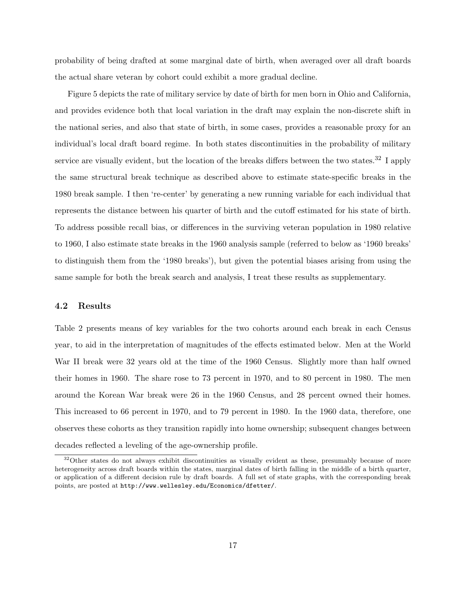probability of being drafted at some marginal date of birth, when averaged over all draft boards the actual share veteran by cohort could exhibit a more gradual decline.

Figure 5 depicts the rate of military service by date of birth for men born in Ohio and California, and provides evidence both that local variation in the draft may explain the non-discrete shift in the national series, and also that state of birth, in some cases, provides a reasonable proxy for an individual's local draft board regime. In both states discontinuities in the probability of military service are visually evident, but the location of the breaks differs between the two states.<sup>32</sup> I apply the same structural break technique as described above to estimate state-specific breaks in the 1980 break sample. I then 're-center' by generating a new running variable for each individual that represents the distance between his quarter of birth and the cutoff estimated for his state of birth. To address possible recall bias, or differences in the surviving veteran population in 1980 relative to 1960, I also estimate state breaks in the 1960 analysis sample (referred to below as '1960 breaks' to distinguish them from the '1980 breaks'), but given the potential biases arising from using the same sample for both the break search and analysis, I treat these results as supplementary.

### 4.2 Results

Table 2 presents means of key variables for the two cohorts around each break in each Census year, to aid in the interpretation of magnitudes of the effects estimated below. Men at the World War II break were 32 years old at the time of the 1960 Census. Slightly more than half owned their homes in 1960. The share rose to 73 percent in 1970, and to 80 percent in 1980. The men around the Korean War break were 26 in the 1960 Census, and 28 percent owned their homes. This increased to 66 percent in 1970, and to 79 percent in 1980. In the 1960 data, therefore, one observes these cohorts as they transition rapidly into home ownership; subsequent changes between decades reflected a leveling of the age-ownership profile.

<sup>&</sup>lt;sup>32</sup>Other states do not always exhibit discontinuities as visually evident as these, presumably because of more heterogeneity across draft boards within the states, marginal dates of birth falling in the middle of a birth quarter, or application of a different decision rule by draft boards. A full set of state graphs, with the corresponding break points, are posted at http://www.wellesley.edu/Economics/dfetter/.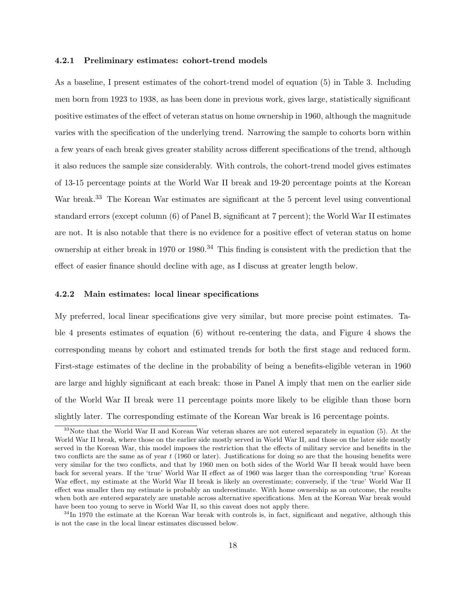#### 4.2.1 Preliminary estimates: cohort-trend models

As a baseline, I present estimates of the cohort-trend model of equation (5) in Table 3. Including men born from 1923 to 1938, as has been done in previous work, gives large, statistically significant positive estimates of the effect of veteran status on home ownership in 1960, although the magnitude varies with the specification of the underlying trend. Narrowing the sample to cohorts born within a few years of each break gives greater stability across different specifications of the trend, although it also reduces the sample size considerably. With controls, the cohort-trend model gives estimates of 13-15 percentage points at the World War II break and 19-20 percentage points at the Korean War break.<sup>33</sup> The Korean War estimates are significant at the 5 percent level using conventional standard errors (except column (6) of Panel B, significant at 7 percent); the World War II estimates are not. It is also notable that there is no evidence for a positive effect of veteran status on home ownership at either break in 1970 or 1980.<sup>34</sup> This finding is consistent with the prediction that the effect of easier finance should decline with age, as I discuss at greater length below.

### 4.2.2 Main estimates: local linear specifications

My preferred, local linear specifications give very similar, but more precise point estimates. Table 4 presents estimates of equation (6) without re-centering the data, and Figure 4 shows the corresponding means by cohort and estimated trends for both the first stage and reduced form. First-stage estimates of the decline in the probability of being a benefits-eligible veteran in 1960 are large and highly significant at each break: those in Panel A imply that men on the earlier side of the World War II break were 11 percentage points more likely to be eligible than those born slightly later. The corresponding estimate of the Korean War break is 16 percentage points.

<sup>&</sup>lt;sup>33</sup>Note that the World War II and Korean War veteran shares are not entered separately in equation (5). At the World War II break, where those on the earlier side mostly served in World War II, and those on the later side mostly served in the Korean War, this model imposes the restriction that the effects of military service and benefits in the two conflicts are the same as of year t (1960 or later). Justifications for doing so are that the housing benefits were very similar for the two conflicts, and that by 1960 men on both sides of the World War II break would have been back for several years. If the 'true' World War II effect as of 1960 was larger than the corresponding 'true' Korean War effect, my estimate at the World War II break is likely an overestimate; conversely, if the 'true' World War II effect was smaller then my estimate is probably an underestimate. With home ownership as an outcome, the results when both are entered separately are unstable across alternative specifications. Men at the Korean War break would have been too young to serve in World War II, so this caveat does not apply there.

 $34$ In 1970 the estimate at the Korean War break with controls is, in fact, significant and negative, although this is not the case in the local linear estimates discussed below.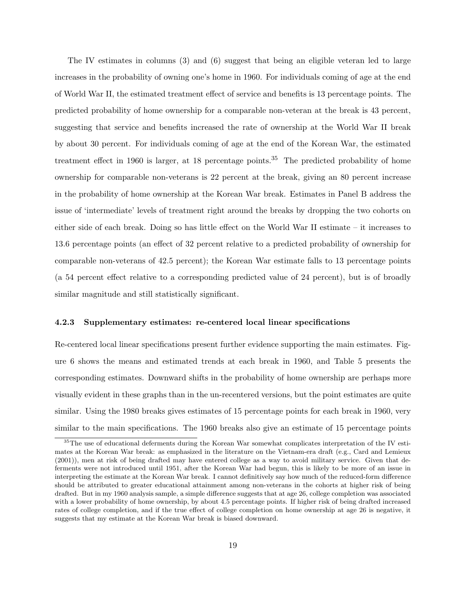The IV estimates in columns (3) and (6) suggest that being an eligible veteran led to large increases in the probability of owning one's home in 1960. For individuals coming of age at the end of World War II, the estimated treatment effect of service and benefits is 13 percentage points. The predicted probability of home ownership for a comparable non-veteran at the break is 43 percent, suggesting that service and benefits increased the rate of ownership at the World War II break by about 30 percent. For individuals coming of age at the end of the Korean War, the estimated treatment effect in 1960 is larger, at 18 percentage points.<sup>35</sup> The predicted probability of home ownership for comparable non-veterans is 22 percent at the break, giving an 80 percent increase in the probability of home ownership at the Korean War break. Estimates in Panel B address the issue of 'intermediate' levels of treatment right around the breaks by dropping the two cohorts on either side of each break. Doing so has little effect on the World War II estimate – it increases to 13.6 percentage points (an effect of 32 percent relative to a predicted probability of ownership for comparable non-veterans of 42.5 percent); the Korean War estimate falls to 13 percentage points (a 54 percent effect relative to a corresponding predicted value of 24 percent), but is of broadly similar magnitude and still statistically significant.

### 4.2.3 Supplementary estimates: re-centered local linear specifications

Re-centered local linear specifications present further evidence supporting the main estimates. Figure 6 shows the means and estimated trends at each break in 1960, and Table 5 presents the corresponding estimates. Downward shifts in the probability of home ownership are perhaps more visually evident in these graphs than in the un-recentered versions, but the point estimates are quite similar. Using the 1980 breaks gives estimates of 15 percentage points for each break in 1960, very similar to the main specifications. The 1960 breaks also give an estimate of 15 percentage points

<sup>&</sup>lt;sup>35</sup>The use of educational deferments during the Korean War somewhat complicates interpretation of the IV estimates at the Korean War break: as emphasized in the literature on the Vietnam-era draft (e.g., Card and Lemieux (2001)), men at risk of being drafted may have entered college as a way to avoid military service. Given that deferments were not introduced until 1951, after the Korean War had begun, this is likely to be more of an issue in interpreting the estimate at the Korean War break. I cannot definitively say how much of the reduced-form difference should be attributed to greater educational attainment among non-veterans in the cohorts at higher risk of being drafted. But in my 1960 analysis sample, a simple difference suggests that at age 26, college completion was associated with a lower probability of home ownership, by about 4.5 percentage points. If higher risk of being drafted increased rates of college completion, and if the true effect of college completion on home ownership at age 26 is negative, it suggests that my estimate at the Korean War break is biased downward.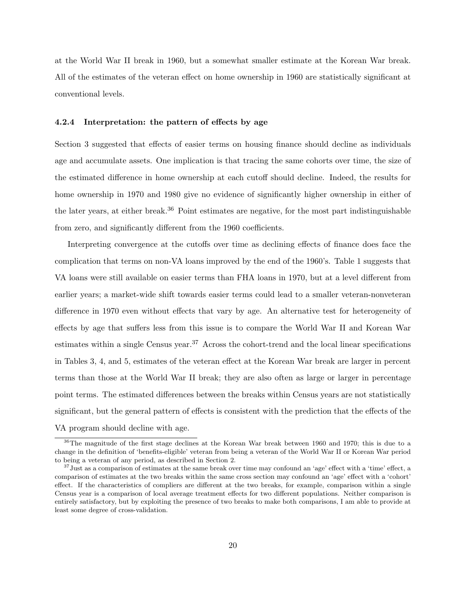at the World War II break in 1960, but a somewhat smaller estimate at the Korean War break. All of the estimates of the veteran effect on home ownership in 1960 are statistically significant at conventional levels.

#### 4.2.4 Interpretation: the pattern of effects by age

Section 3 suggested that effects of easier terms on housing finance should decline as individuals age and accumulate assets. One implication is that tracing the same cohorts over time, the size of the estimated difference in home ownership at each cutoff should decline. Indeed, the results for home ownership in 1970 and 1980 give no evidence of significantly higher ownership in either of the later years, at either break.<sup>36</sup> Point estimates are negative, for the most part indistinguishable from zero, and significantly different from the 1960 coefficients.

Interpreting convergence at the cutoffs over time as declining effects of finance does face the complication that terms on non-VA loans improved by the end of the 1960's. Table 1 suggests that VA loans were still available on easier terms than FHA loans in 1970, but at a level different from earlier years; a market-wide shift towards easier terms could lead to a smaller veteran-nonveteran difference in 1970 even without effects that vary by age. An alternative test for heterogeneity of effects by age that suffers less from this issue is to compare the World War II and Korean War estimates within a single Census year.<sup>37</sup> Across the cohort-trend and the local linear specifications in Tables 3, 4, and 5, estimates of the veteran effect at the Korean War break are larger in percent terms than those at the World War II break; they are also often as large or larger in percentage point terms. The estimated differences between the breaks within Census years are not statistically significant, but the general pattern of effects is consistent with the prediction that the effects of the VA program should decline with age.

<sup>36</sup>The magnitude of the first stage declines at the Korean War break between 1960 and 1970; this is due to a change in the definition of 'benefits-eligible' veteran from being a veteran of the World War II or Korean War period to being a veteran of any period, as described in Section 2.

 $37$  Just as a comparison of estimates at the same break over time may confound an 'age' effect with a 'time' effect, a comparison of estimates at the two breaks within the same cross section may confound an 'age' effect with a 'cohort' effect. If the characteristics of compliers are different at the two breaks, for example, comparison within a single Census year is a comparison of local average treatment effects for two different populations. Neither comparison is entirely satisfactory, but by exploiting the presence of two breaks to make both comparisons, I am able to provide at least some degree of cross-validation.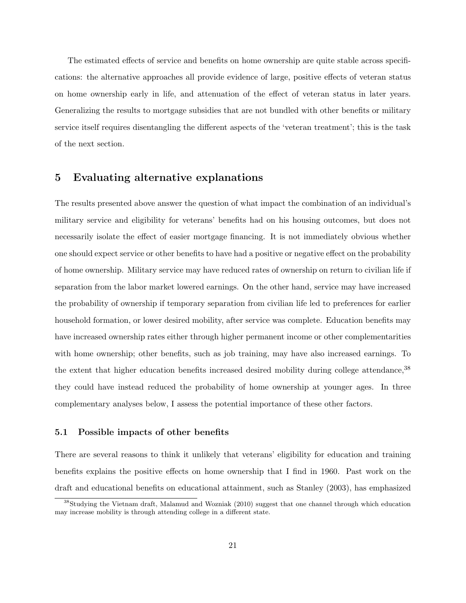The estimated effects of service and benefits on home ownership are quite stable across specifications: the alternative approaches all provide evidence of large, positive effects of veteran status on home ownership early in life, and attenuation of the effect of veteran status in later years. Generalizing the results to mortgage subsidies that are not bundled with other benefits or military service itself requires disentangling the different aspects of the 'veteran treatment'; this is the task of the next section.

# 5 Evaluating alternative explanations

The results presented above answer the question of what impact the combination of an individual's military service and eligibility for veterans' benefits had on his housing outcomes, but does not necessarily isolate the effect of easier mortgage financing. It is not immediately obvious whether one should expect service or other benefits to have had a positive or negative effect on the probability of home ownership. Military service may have reduced rates of ownership on return to civilian life if separation from the labor market lowered earnings. On the other hand, service may have increased the probability of ownership if temporary separation from civilian life led to preferences for earlier household formation, or lower desired mobility, after service was complete. Education benefits may have increased ownership rates either through higher permanent income or other complementarities with home ownership; other benefits, such as job training, may have also increased earnings. To the extent that higher education benefits increased desired mobility during college attendance,<sup>38</sup> they could have instead reduced the probability of home ownership at younger ages. In three complementary analyses below, I assess the potential importance of these other factors.

### 5.1 Possible impacts of other benefits

There are several reasons to think it unlikely that veterans' eligibility for education and training benefits explains the positive effects on home ownership that I find in 1960. Past work on the draft and educational benefits on educational attainment, such as Stanley (2003), has emphasized

<sup>&</sup>lt;sup>38</sup>Studying the Vietnam draft, Malamud and Wozniak (2010) suggest that one channel through which education may increase mobility is through attending college in a different state.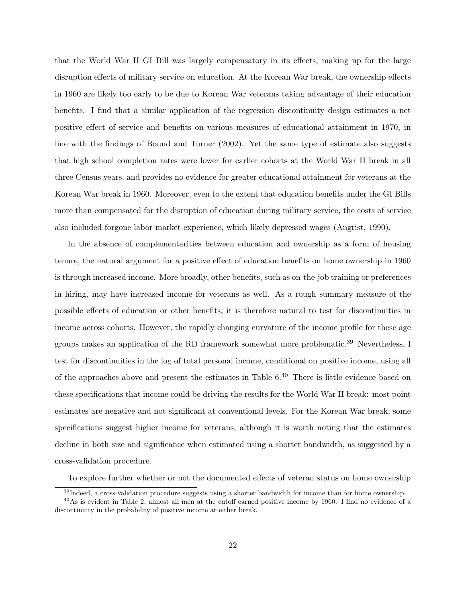that the World War II GI Bill was largely compensatory in its effects, making up for the large disruption effects of military service on education. At the Korean War break, the ownership effects in 1960 are likely too early to be due to Korean War veterans taking advantage of their education benefits. I find that a similar application of the regression discontinuity design estimates a net positive effect of service and benefits on various measures of educational attainment in 1970, in line with the findings of Bound and Turner (2002). Yet the same type of estimate also suggests that high school completion rates were lower for earlier cohorts at the World War II break in all three Census years, and provides no evidence for greater educational attainment for veterans at the Korean War break in 1960. Moreover, even to the extent that education benefits under the GI Bills more than compensated for the disruption of education during military service, the costs of service also included forgone labor market experience, which likely depressed wages (Angrist, 1990).

In the absence of complementarities between education and ownership as a form of housing tenure, the natural argument for a positive effect of education benefits on home ownership in 1960 is through increased income. More broadly, other benefits, such as on-the-job training or preferences in hiring, may have increased income for veterans as well. As a rough summary measure of the possible effects of education or other benefits, it is therefore natural to test for discontinuities in income across cohorts. However, the rapidly changing curvature of the income profile for these age groups makes an application of the RD framework somewhat more problematic.<sup>39</sup> Nevertheless, I test for discontinuities in the log of total personal income, conditional on positive income, using all of the approaches above and present the estimates in Table  $6.^{40}$  There is little evidence based on these specifications that income could be driving the results for the World War II break: most point estimates are negative and not significant at conventional levels. For the Korean War break, some specifications suggest higher income for veterans, although it is worth noting that the estimates decline in both size and significance when estimated using a shorter bandwidth, as suggested by a cross-validation procedure.

To explore further whether or not the documented effects of veteran status on home ownership

<sup>&</sup>lt;sup>39</sup>Indeed, a cross-validation procedure suggests using a shorter bandwidth for income than for home ownership.

 $^{40}$ As is evident in Table 2, almost all men at the cutoff earned positive income by 1960. I find no evidence of a discontinuity in the probability of positive income at either break.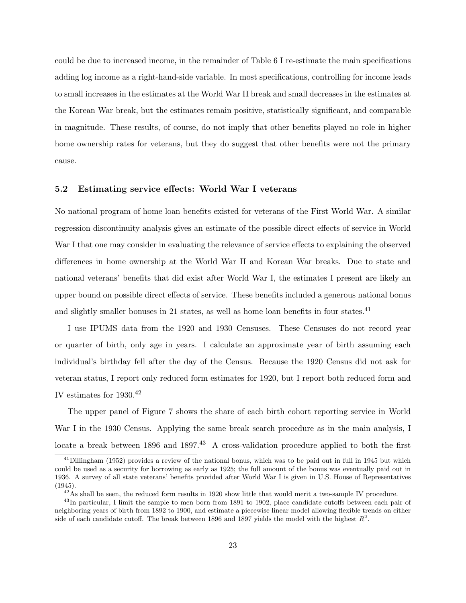could be due to increased income, in the remainder of Table 6 I re-estimate the main specifications adding log income as a right-hand-side variable. In most specifications, controlling for income leads to small increases in the estimates at the World War II break and small decreases in the estimates at the Korean War break, but the estimates remain positive, statistically significant, and comparable in magnitude. These results, of course, do not imply that other benefits played no role in higher home ownership rates for veterans, but they do suggest that other benefits were not the primary cause.

#### 5.2 Estimating service effects: World War I veterans

No national program of home loan benefits existed for veterans of the First World War. A similar regression discontinuity analysis gives an estimate of the possible direct effects of service in World War I that one may consider in evaluating the relevance of service effects to explaining the observed differences in home ownership at the World War II and Korean War breaks. Due to state and national veterans' benefits that did exist after World War I, the estimates I present are likely an upper bound on possible direct effects of service. These benefits included a generous national bonus and slightly smaller bonuses in 21 states, as well as home loan benefits in four states.<sup>41</sup>

I use IPUMS data from the 1920 and 1930 Censuses. These Censuses do not record year or quarter of birth, only age in years. I calculate an approximate year of birth assuming each individual's birthday fell after the day of the Census. Because the 1920 Census did not ask for veteran status, I report only reduced form estimates for 1920, but I report both reduced form and IV estimates for  $1930.^{42}$ 

The upper panel of Figure 7 shows the share of each birth cohort reporting service in World War I in the 1930 Census. Applying the same break search procedure as in the main analysis, I locate a break between 1896 and 1897.<sup>43</sup> A cross-validation procedure applied to both the first

 $^{41}$ Dillingham (1952) provides a review of the national bonus, which was to be paid out in full in 1945 but which could be used as a security for borrowing as early as 1925; the full amount of the bonus was eventually paid out in 1936. A survey of all state veterans' benefits provided after World War I is given in U.S. House of Representatives (1945).

 $^{42}$ As shall be seen, the reduced form results in 1920 show little that would merit a two-sample IV procedure.

<sup>&</sup>lt;sup>43</sup>In particular, I limit the sample to men born from 1891 to 1902, place candidate cutoffs between each pair of neighboring years of birth from 1892 to 1900, and estimate a piecewise linear model allowing flexible trends on either side of each candidate cutoff. The break between 1896 and 1897 yields the model with the highest  $R^2$ .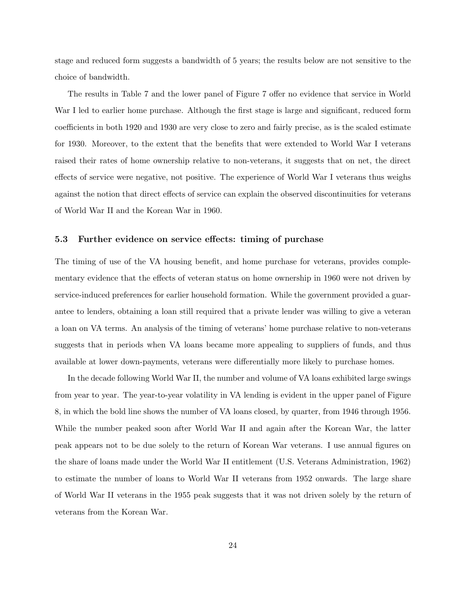stage and reduced form suggests a bandwidth of 5 years; the results below are not sensitive to the choice of bandwidth.

The results in Table 7 and the lower panel of Figure 7 offer no evidence that service in World War I led to earlier home purchase. Although the first stage is large and significant, reduced form coefficients in both 1920 and 1930 are very close to zero and fairly precise, as is the scaled estimate for 1930. Moreover, to the extent that the benefits that were extended to World War I veterans raised their rates of home ownership relative to non-veterans, it suggests that on net, the direct effects of service were negative, not positive. The experience of World War I veterans thus weighs against the notion that direct effects of service can explain the observed discontinuities for veterans of World War II and the Korean War in 1960.

### 5.3 Further evidence on service effects: timing of purchase

The timing of use of the VA housing benefit, and home purchase for veterans, provides complementary evidence that the effects of veteran status on home ownership in 1960 were not driven by service-induced preferences for earlier household formation. While the government provided a guarantee to lenders, obtaining a loan still required that a private lender was willing to give a veteran a loan on VA terms. An analysis of the timing of veterans' home purchase relative to non-veterans suggests that in periods when VA loans became more appealing to suppliers of funds, and thus available at lower down-payments, veterans were differentially more likely to purchase homes.

In the decade following World War II, the number and volume of VA loans exhibited large swings from year to year. The year-to-year volatility in VA lending is evident in the upper panel of Figure 8, in which the bold line shows the number of VA loans closed, by quarter, from 1946 through 1956. While the number peaked soon after World War II and again after the Korean War, the latter peak appears not to be due solely to the return of Korean War veterans. I use annual figures on the share of loans made under the World War II entitlement (U.S. Veterans Administration, 1962) to estimate the number of loans to World War II veterans from 1952 onwards. The large share of World War II veterans in the 1955 peak suggests that it was not driven solely by the return of veterans from the Korean War.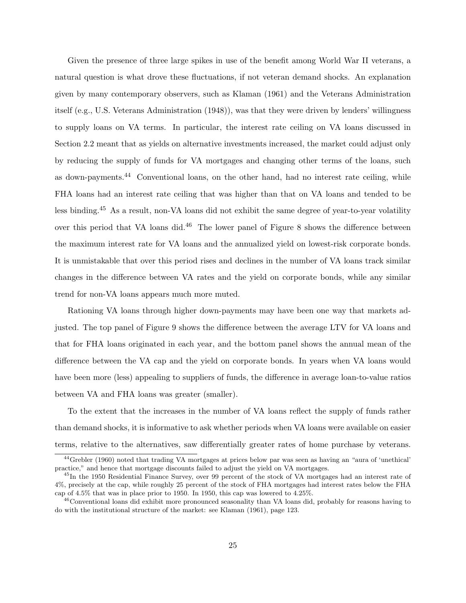Given the presence of three large spikes in use of the benefit among World War II veterans, a natural question is what drove these fluctuations, if not veteran demand shocks. An explanation given by many contemporary observers, such as Klaman (1961) and the Veterans Administration itself (e.g., U.S. Veterans Administration (1948)), was that they were driven by lenders' willingness to supply loans on VA terms. In particular, the interest rate ceiling on VA loans discussed in Section 2.2 meant that as yields on alternative investments increased, the market could adjust only by reducing the supply of funds for VA mortgages and changing other terms of the loans, such as down-payments.<sup>44</sup> Conventional loans, on the other hand, had no interest rate ceiling, while FHA loans had an interest rate ceiling that was higher than that on VA loans and tended to be less binding.<sup>45</sup> As a result, non-VA loans did not exhibit the same degree of year-to-year volatility over this period that VA loans did.<sup>46</sup> The lower panel of Figure 8 shows the difference between the maximum interest rate for VA loans and the annualized yield on lowest-risk corporate bonds. It is unmistakable that over this period rises and declines in the number of VA loans track similar changes in the difference between VA rates and the yield on corporate bonds, while any similar trend for non-VA loans appears much more muted.

Rationing VA loans through higher down-payments may have been one way that markets adjusted. The top panel of Figure 9 shows the difference between the average LTV for VA loans and that for FHA loans originated in each year, and the bottom panel shows the annual mean of the difference between the VA cap and the yield on corporate bonds. In years when VA loans would have been more (less) appealing to suppliers of funds, the difference in average loan-to-value ratios between VA and FHA loans was greater (smaller).

To the extent that the increases in the number of VA loans reflect the supply of funds rather than demand shocks, it is informative to ask whether periods when VA loans were available on easier terms, relative to the alternatives, saw differentially greater rates of home purchase by veterans.

<sup>44</sup>Grebler (1960) noted that trading VA mortgages at prices below par was seen as having an "aura of 'unethical' practice," and hence that mortgage discounts failed to adjust the yield on VA mortgages.

<sup>45</sup>In the 1950 Residential Finance Survey, over 99 percent of the stock of VA mortgages had an interest rate of 4%, precisely at the cap, while roughly 25 percent of the stock of FHA mortgages had interest rates below the FHA cap of 4.5% that was in place prior to 1950. In 1950, this cap was lowered to 4.25%.

<sup>&</sup>lt;sup>46</sup>Conventional loans did exhibit more pronounced seasonality than VA loans did, probably for reasons having to do with the institutional structure of the market: see Klaman (1961), page 123.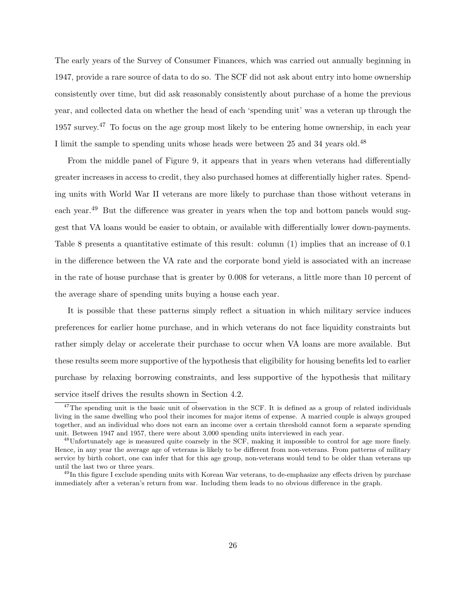The early years of the Survey of Consumer Finances, which was carried out annually beginning in 1947, provide a rare source of data to do so. The SCF did not ask about entry into home ownership consistently over time, but did ask reasonably consistently about purchase of a home the previous year, and collected data on whether the head of each 'spending unit' was a veteran up through the 1957 survey.<sup>47</sup> To focus on the age group most likely to be entering home ownership, in each year I limit the sample to spending units whose heads were between 25 and 34 years old.<sup>48</sup>

From the middle panel of Figure 9, it appears that in years when veterans had differentially greater increases in access to credit, they also purchased homes at differentially higher rates. Spending units with World War II veterans are more likely to purchase than those without veterans in each year.<sup>49</sup> But the difference was greater in years when the top and bottom panels would suggest that VA loans would be easier to obtain, or available with differentially lower down-payments. Table 8 presents a quantitative estimate of this result: column (1) implies that an increase of 0.1 in the difference between the VA rate and the corporate bond yield is associated with an increase in the rate of house purchase that is greater by 0.008 for veterans, a little more than 10 percent of the average share of spending units buying a house each year.

It is possible that these patterns simply reflect a situation in which military service induces preferences for earlier home purchase, and in which veterans do not face liquidity constraints but rather simply delay or accelerate their purchase to occur when VA loans are more available. But these results seem more supportive of the hypothesis that eligibility for housing benefits led to earlier purchase by relaxing borrowing constraints, and less supportive of the hypothesis that military service itself drives the results shown in Section 4.2.

<sup>&</sup>lt;sup>47</sup>The spending unit is the basic unit of observation in the SCF. It is defined as a group of related individuals living in the same dwelling who pool their incomes for major items of expense. A married couple is always grouped together, and an individual who does not earn an income over a certain threshold cannot form a separate spending unit. Between 1947 and 1957, there were about 3,000 spending units interviewed in each year.

<sup>48</sup>Unfortunately age is measured quite coarsely in the SCF, making it impossible to control for age more finely. Hence, in any year the average age of veterans is likely to be different from non-veterans. From patterns of military service by birth cohort, one can infer that for this age group, non-veterans would tend to be older than veterans up until the last two or three years.

 $^{49}$ In this figure I exclude spending units with Korean War veterans, to de-emphasize any effects driven by purchase immediately after a veteran's return from war. Including them leads to no obvious difference in the graph.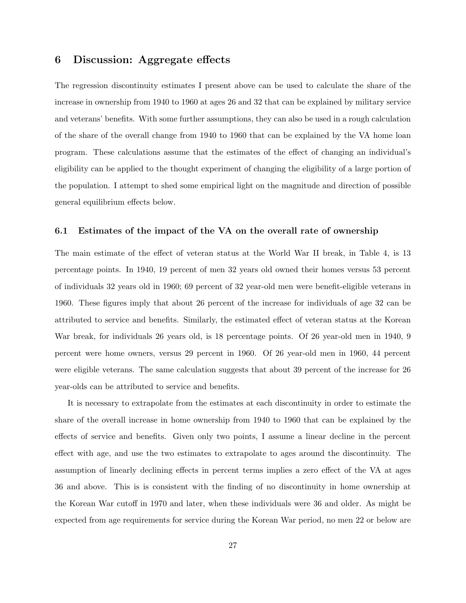# 6 Discussion: Aggregate effects

The regression discontinuity estimates I present above can be used to calculate the share of the increase in ownership from 1940 to 1960 at ages 26 and 32 that can be explained by military service and veterans' benefits. With some further assumptions, they can also be used in a rough calculation of the share of the overall change from 1940 to 1960 that can be explained by the VA home loan program. These calculations assume that the estimates of the effect of changing an individual's eligibility can be applied to the thought experiment of changing the eligibility of a large portion of the population. I attempt to shed some empirical light on the magnitude and direction of possible general equilibrium effects below.

### 6.1 Estimates of the impact of the VA on the overall rate of ownership

The main estimate of the effect of veteran status at the World War II break, in Table 4, is 13 percentage points. In 1940, 19 percent of men 32 years old owned their homes versus 53 percent of individuals 32 years old in 1960; 69 percent of 32 year-old men were benefit-eligible veterans in 1960. These figures imply that about 26 percent of the increase for individuals of age 32 can be attributed to service and benefits. Similarly, the estimated effect of veteran status at the Korean War break, for individuals 26 years old, is 18 percentage points. Of 26 year-old men in 1940, 9 percent were home owners, versus 29 percent in 1960. Of 26 year-old men in 1960, 44 percent were eligible veterans. The same calculation suggests that about 39 percent of the increase for 26 year-olds can be attributed to service and benefits.

It is necessary to extrapolate from the estimates at each discontinuity in order to estimate the share of the overall increase in home ownership from 1940 to 1960 that can be explained by the effects of service and benefits. Given only two points, I assume a linear decline in the percent effect with age, and use the two estimates to extrapolate to ages around the discontinuity. The assumption of linearly declining effects in percent terms implies a zero effect of the VA at ages 36 and above. This is is consistent with the finding of no discontinuity in home ownership at the Korean War cutoff in 1970 and later, when these individuals were 36 and older. As might be expected from age requirements for service during the Korean War period, no men 22 or below are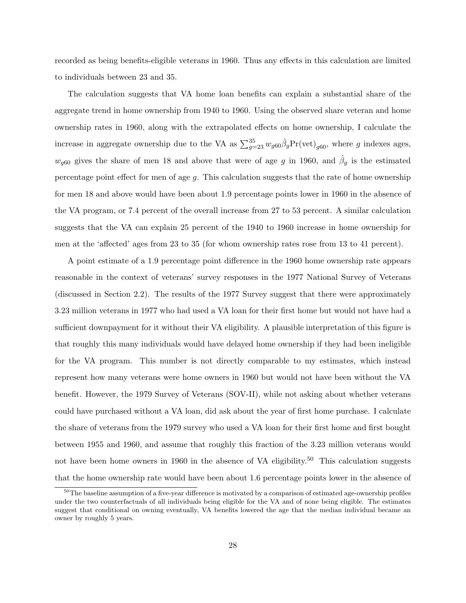recorded as being benefits-eligible veterans in 1960. Thus any effects in this calculation are limited to individuals between 23 and 35.

The calculation suggests that VA home loan benefits can explain a substantial share of the aggregate trend in home ownership from 1940 to 1960. Using the observed share veteran and home ownership rates in 1960, along with the extrapolated effects on home ownership, I calculate the increase in aggregate ownership due to the VA as  $\sum_{g=23}^{35} w_{g60} \hat{\beta}_g \text{Pr}(\text{vet})_{g60}$ , where g indexes ages,  $w_{g60}$  gives the share of men 18 and above that were of age g in 1960, and  $\hat{\beta}_g$  is the estimated percentage point effect for men of age g. This calculation suggests that the rate of home ownership for men 18 and above would have been about 1.9 percentage points lower in 1960 in the absence of the VA program, or 7.4 percent of the overall increase from 27 to 53 percent. A similar calculation suggests that the VA can explain 25 percent of the 1940 to 1960 increase in home ownership for men at the 'affected' ages from 23 to 35 (for whom ownership rates rose from 13 to 41 percent).

A point estimate of a 1.9 percentage point difference in the 1960 home ownership rate appears reasonable in the context of veterans' survey responses in the 1977 National Survey of Veterans (discussed in Section 2.2). The results of the 1977 Survey suggest that there were approximately 3.23 million veterans in 1977 who had used a VA loan for their first home but would not have had a sufficient downpayment for it without their VA eligibility. A plausible interpretation of this figure is that roughly this many individuals would have delayed home ownership if they had been ineligible for the VA program. This number is not directly comparable to my estimates, which instead represent how many veterans were home owners in 1960 but would not have been without the VA benefit. However, the 1979 Survey of Veterans (SOV-II), while not asking about whether veterans could have purchased without a VA loan, did ask about the year of first home purchase. I calculate the share of veterans from the 1979 survey who used a VA loan for their first home and first bought between 1955 and 1960, and assume that roughly this fraction of the 3.23 million veterans would not have been home owners in 1960 in the absence of VA eligibility.<sup>50</sup> This calculation suggests that the home ownership rate would have been about 1.6 percentage points lower in the absence of

 $50$ The baseline assumption of a five-year difference is motivated by a comparison of estimated age-ownership profiles under the two counterfactuals of all individuals being eligible for the VA and of none being eligible. The estimates suggest that conditional on owning eventually, VA benefits lowered the age that the median individual became an owner by roughly 5 years.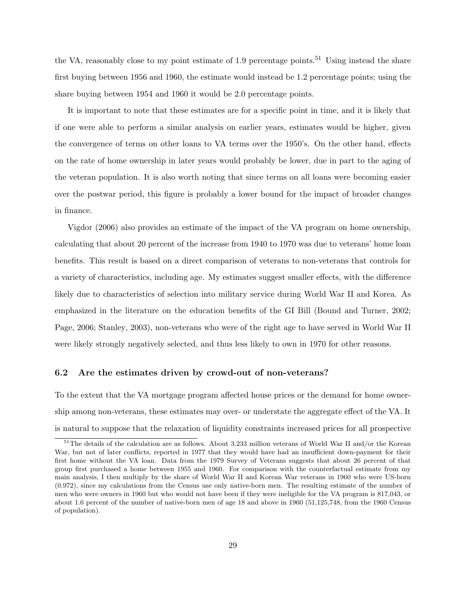the VA, reasonably close to my point estimate of 1.9 percentage points.<sup>51</sup> Using instead the share first buying between 1956 and 1960, the estimate would instead be 1.2 percentage points; using the share buying between 1954 and 1960 it would be 2.0 percentage points.

It is important to note that these estimates are for a specific point in time, and it is likely that if one were able to perform a similar analysis on earlier years, estimates would be higher, given the convergence of terms on other loans to VA terms over the 1950's. On the other hand, effects on the rate of home ownership in later years would probably be lower, due in part to the aging of the veteran population. It is also worth noting that since terms on all loans were becoming easier over the postwar period, this figure is probably a lower bound for the impact of broader changes in finance.

Vigdor (2006) also provides an estimate of the impact of the VA program on home ownership, calculating that about 20 percent of the increase from 1940 to 1970 was due to veterans' home loan benefits. This result is based on a direct comparison of veterans to non-veterans that controls for a variety of characteristics, including age. My estimates suggest smaller effects, with the difference likely due to characteristics of selection into military service during World War II and Korea. As emphasized in the literature on the education benefits of the GI Bill (Bound and Turner, 2002; Page, 2006; Stanley, 2003), non-veterans who were of the right age to have served in World War II were likely strongly negatively selected, and thus less likely to own in 1970 for other reasons.

### 6.2 Are the estimates driven by crowd-out of non-veterans?

To the extent that the VA mortgage program affected house prices or the demand for home ownership among non-veterans, these estimates may over- or understate the aggregate effect of the VA. It is natural to suppose that the relaxation of liquidity constraints increased prices for all prospective

<sup>&</sup>lt;sup>51</sup>The details of the calculation are as follows. About 3.233 million veterans of World War II and/or the Korean War, but not of later conflicts, reported in 1977 that they would have had an insufficient down-payment for their first home without the VA loan. Data from the 1979 Survey of Veterans suggests that about 26 percent of that group first purchased a home between 1955 and 1960. For comparison with the counterfactual estimate from my main analysis, I then multiply by the share of World War II and Korean War veterans in 1960 who were US-born (0.972), since my calculations from the Census use only native-born men. The resulting estimate of the number of men who were owners in 1960 but who would not have been if they were ineligible for the VA program is 817,043, or about 1.6 percent of the number of native-born men of age 18 and above in 1960 (51,125,748, from the 1960 Census of population).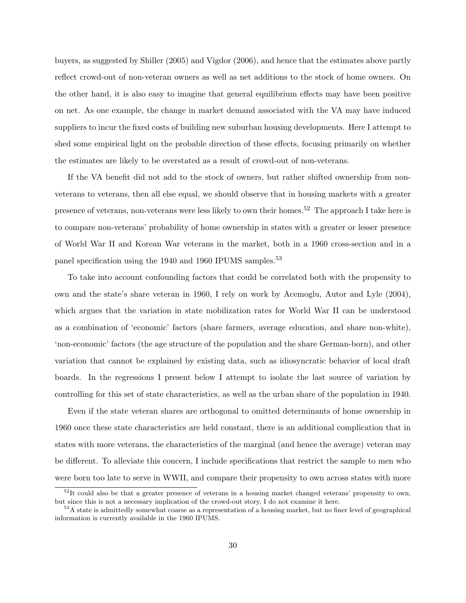buyers, as suggested by Shiller (2005) and Vigdor (2006), and hence that the estimates above partly reflect crowd-out of non-veteran owners as well as net additions to the stock of home owners. On the other hand, it is also easy to imagine that general equilibrium effects may have been positive on net. As one example, the change in market demand associated with the VA may have induced suppliers to incur the fixed costs of building new suburban housing developments. Here I attempt to shed some empirical light on the probable direction of these effects, focusing primarily on whether the estimates are likely to be overstated as a result of crowd-out of non-veterans.

If the VA benefit did not add to the stock of owners, but rather shifted ownership from nonveterans to veterans, then all else equal, we should observe that in housing markets with a greater presence of veterans, non-veterans were less likely to own their homes.<sup>52</sup> The approach I take here is to compare non-veterans' probability of home ownership in states with a greater or lesser presence of World War II and Korean War veterans in the market, both in a 1960 cross-section and in a panel specification using the 1940 and 1960 IPUMS samples.<sup>53</sup>

To take into account confounding factors that could be correlated both with the propensity to own and the state's share veteran in 1960, I rely on work by Acemoglu, Autor and Lyle (2004), which argues that the variation in state mobilization rates for World War II can be understood as a combination of 'economic' factors (share farmers, average education, and share non-white), 'non-economic' factors (the age structure of the population and the share German-born), and other variation that cannot be explained by existing data, such as idiosyncratic behavior of local draft boards. In the regressions I present below I attempt to isolate the last source of variation by controlling for this set of state characteristics, as well as the urban share of the population in 1940.

Even if the state veteran shares are orthogonal to omitted determinants of home ownership in 1960 once these state characteristics are held constant, there is an additional complication that in states with more veterans, the characteristics of the marginal (and hence the average) veteran may be different. To alleviate this concern, I include specifications that restrict the sample to men who were born too late to serve in WWII, and compare their propensity to own across states with more

 $52$ It could also be that a greater presence of veterans in a housing market changed veterans' propensity to own, but since this is not a necessary implication of the crowd-out story, I do not examine it here.

<sup>&</sup>lt;sup>53</sup>A state is admittedly somewhat coarse as a representation of a housing market, but no finer level of geographical information is currently available in the 1960 IPUMS.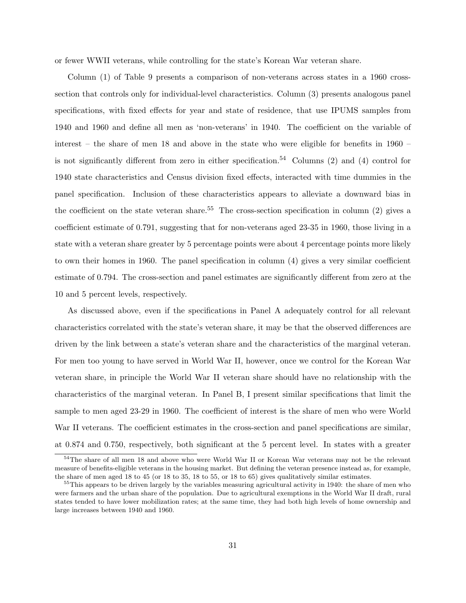or fewer WWII veterans, while controlling for the state's Korean War veteran share.

Column (1) of Table 9 presents a comparison of non-veterans across states in a 1960 crosssection that controls only for individual-level characteristics. Column (3) presents analogous panel specifications, with fixed effects for year and state of residence, that use IPUMS samples from 1940 and 1960 and define all men as 'non-veterans' in 1940. The coefficient on the variable of interest – the share of men 18 and above in the state who were eligible for benefits in 1960 – is not significantly different from zero in either specification.<sup>54</sup> Columns (2) and (4) control for 1940 state characteristics and Census division fixed effects, interacted with time dummies in the panel specification. Inclusion of these characteristics appears to alleviate a downward bias in the coefficient on the state veteran share.<sup>55</sup> The cross-section specification in column  $(2)$  gives a coefficient estimate of 0.791, suggesting that for non-veterans aged 23-35 in 1960, those living in a state with a veteran share greater by 5 percentage points were about 4 percentage points more likely to own their homes in 1960. The panel specification in column (4) gives a very similar coefficient estimate of 0.794. The cross-section and panel estimates are significantly different from zero at the 10 and 5 percent levels, respectively.

As discussed above, even if the specifications in Panel A adequately control for all relevant characteristics correlated with the state's veteran share, it may be that the observed differences are driven by the link between a state's veteran share and the characteristics of the marginal veteran. For men too young to have served in World War II, however, once we control for the Korean War veteran share, in principle the World War II veteran share should have no relationship with the characteristics of the marginal veteran. In Panel B, I present similar specifications that limit the sample to men aged 23-29 in 1960. The coefficient of interest is the share of men who were World War II veterans. The coefficient estimates in the cross-section and panel specifications are similar, at 0.874 and 0.750, respectively, both significant at the 5 percent level. In states with a greater

<sup>&</sup>lt;sup>54</sup>The share of all men 18 and above who were World War II or Korean War veterans may not be the relevant measure of benefits-eligible veterans in the housing market. But defining the veteran presence instead as, for example, the share of men aged 18 to 45 (or 18 to 35, 18 to 55, or 18 to 65) gives qualitatively similar estimates.

<sup>&</sup>lt;sup>55</sup>This appears to be driven largely by the variables measuring agricultural activity in 1940: the share of men who were farmers and the urban share of the population. Due to agricultural exemptions in the World War II draft, rural states tended to have lower mobilization rates; at the same time, they had both high levels of home ownership and large increases between 1940 and 1960.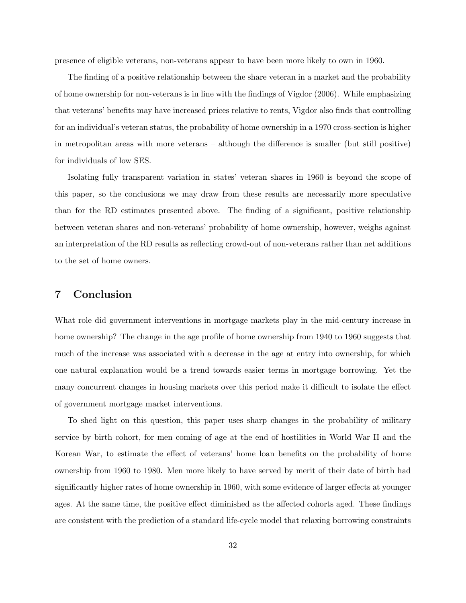presence of eligible veterans, non-veterans appear to have been more likely to own in 1960.

The finding of a positive relationship between the share veteran in a market and the probability of home ownership for non-veterans is in line with the findings of Vigdor (2006). While emphasizing that veterans' benefits may have increased prices relative to rents, Vigdor also finds that controlling for an individual's veteran status, the probability of home ownership in a 1970 cross-section is higher in metropolitan areas with more veterans – although the difference is smaller (but still positive) for individuals of low SES.

Isolating fully transparent variation in states' veteran shares in 1960 is beyond the scope of this paper, so the conclusions we may draw from these results are necessarily more speculative than for the RD estimates presented above. The finding of a significant, positive relationship between veteran shares and non-veterans' probability of home ownership, however, weighs against an interpretation of the RD results as reflecting crowd-out of non-veterans rather than net additions to the set of home owners.

# 7 Conclusion

What role did government interventions in mortgage markets play in the mid-century increase in home ownership? The change in the age profile of home ownership from 1940 to 1960 suggests that much of the increase was associated with a decrease in the age at entry into ownership, for which one natural explanation would be a trend towards easier terms in mortgage borrowing. Yet the many concurrent changes in housing markets over this period make it difficult to isolate the effect of government mortgage market interventions.

To shed light on this question, this paper uses sharp changes in the probability of military service by birth cohort, for men coming of age at the end of hostilities in World War II and the Korean War, to estimate the effect of veterans' home loan benefits on the probability of home ownership from 1960 to 1980. Men more likely to have served by merit of their date of birth had significantly higher rates of home ownership in 1960, with some evidence of larger effects at younger ages. At the same time, the positive effect diminished as the affected cohorts aged. These findings are consistent with the prediction of a standard life-cycle model that relaxing borrowing constraints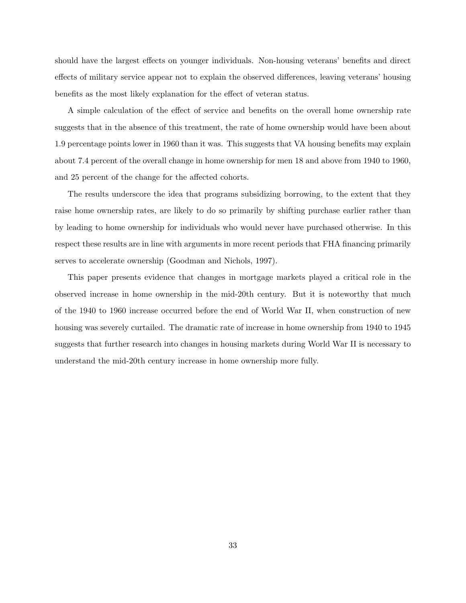should have the largest effects on younger individuals. Non-housing veterans' benefits and direct effects of military service appear not to explain the observed differences, leaving veterans' housing benefits as the most likely explanation for the effect of veteran status.

A simple calculation of the effect of service and benefits on the overall home ownership rate suggests that in the absence of this treatment, the rate of home ownership would have been about 1.9 percentage points lower in 1960 than it was. This suggests that VA housing benefits may explain about 7.4 percent of the overall change in home ownership for men 18 and above from 1940 to 1960, and 25 percent of the change for the affected cohorts.

The results underscore the idea that programs subsidizing borrowing, to the extent that they raise home ownership rates, are likely to do so primarily by shifting purchase earlier rather than by leading to home ownership for individuals who would never have purchased otherwise. In this respect these results are in line with arguments in more recent periods that FHA financing primarily serves to accelerate ownership (Goodman and Nichols, 1997).

This paper presents evidence that changes in mortgage markets played a critical role in the observed increase in home ownership in the mid-20th century. But it is noteworthy that much of the 1940 to 1960 increase occurred before the end of World War II, when construction of new housing was severely curtailed. The dramatic rate of increase in home ownership from 1940 to 1945 suggests that further research into changes in housing markets during World War II is necessary to understand the mid-20th century increase in home ownership more fully.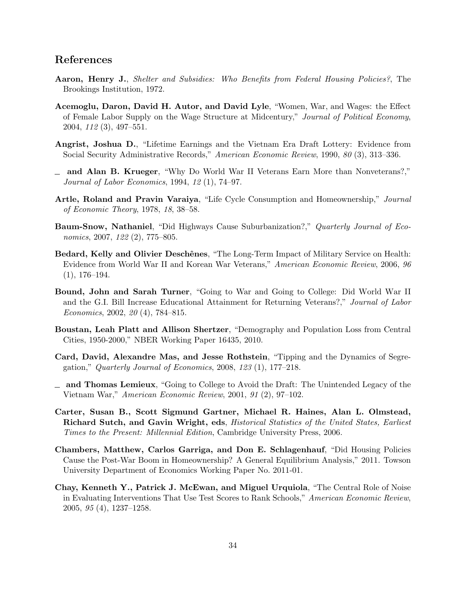# References

- Aaron, Henry J., Shelter and Subsidies: Who Benefits from Federal Housing Policies?, The Brookings Institution, 1972.
- Acemoglu, Daron, David H. Autor, and David Lyle, "Women, War, and Wages: the Effect of Female Labor Supply on the Wage Structure at Midcentury," Journal of Political Economy, 2004, 112 (3), 497–551.
- Angrist, Joshua D., "Lifetime Earnings and the Vietnam Era Draft Lottery: Evidence from Social Security Administrative Records," American Economic Review, 1990, 80 (3), 313–336.
- and Alan B. Krueger, "Why Do World War II Veterans Earn More than Nonveterans?," Journal of Labor Economics, 1994, 12 (1), 74–97.
- Artle, Roland and Pravin Varaiya, "Life Cycle Consumption and Homeownership," Journal of Economic Theory, 1978, 18, 38–58.
- Baum-Snow, Nathaniel, "Did Highways Cause Suburbanization?," Quarterly Journal of Economics, 2007, 122 (2), 775–805.
- Bedard, Kelly and Olivier Deschênes, "The Long-Term Impact of Military Service on Health: Evidence from World War II and Korean War Veterans," American Economic Review, 2006, 96  $(1), 176-194.$
- Bound, John and Sarah Turner, "Going to War and Going to College: Did World War II and the G.I. Bill Increase Educational Attainment for Returning Veterans?," Journal of Labor Economics, 2002, 20 (4), 784–815.
- Boustan, Leah Platt and Allison Shertzer, "Demography and Population Loss from Central Cities, 1950-2000," NBER Working Paper 16435, 2010.
- Card, David, Alexandre Mas, and Jesse Rothstein, "Tipping and the Dynamics of Segregation," Quarterly Journal of Economics,  $2008$ ,  $123$  (1), 177–218.
- $\Box$  and Thomas Lemieux, "Going to College to Avoid the Draft: The Unintended Legacy of the Vietnam War," American Economic Review, 2001, 91 (2), 97–102.
- Carter, Susan B., Scott Sigmund Gartner, Michael R. Haines, Alan L. Olmstead, Richard Sutch, and Gavin Wright, eds, Historical Statistics of the United States, Earliest Times to the Present: Millennial Edition, Cambridge University Press, 2006.
- Chambers, Matthew, Carlos Garriga, and Don E. Schlagenhauf, "Did Housing Policies Cause the Post-War Boom in Homeownership? A General Equilibrium Analysis," 2011. Towson University Department of Economics Working Paper No. 2011-01.
- Chay, Kenneth Y., Patrick J. McEwan, and Miguel Urquiola, "The Central Role of Noise in Evaluating Interventions That Use Test Scores to Rank Schools," American Economic Review, 2005, 95 (4), 1237–1258.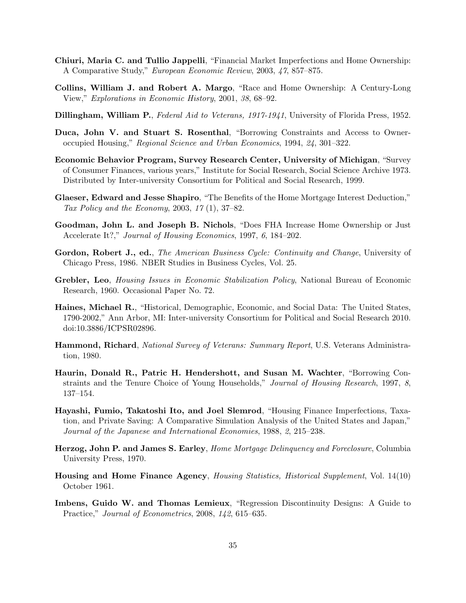- Chiuri, Maria C. and Tullio Jappelli, "Financial Market Imperfections and Home Ownership: A Comparative Study," European Economic Review, 2003, 47, 857–875.
- Collins, William J. and Robert A. Margo, "Race and Home Ownership: A Century-Long View," Explorations in Economic History, 2001, 38, 68–92.
- Dillingham, William P., Federal Aid to Veterans, 1917-1941, University of Florida Press, 1952.
- Duca, John V. and Stuart S. Rosenthal, "Borrowing Constraints and Access to Owneroccupied Housing," Regional Science and Urban Economics, 1994, 24, 301–322.
- Economic Behavior Program, Survey Research Center, University of Michigan, "Survey of Consumer Finances, various years," Institute for Social Research, Social Science Archive 1973. Distributed by Inter-university Consortium for Political and Social Research, 1999.
- Glaeser, Edward and Jesse Shapiro, "The Benefits of the Home Mortgage Interest Deduction," Tax Policy and the Economy, 2003, 17 (1), 37–82.
- Goodman, John L. and Joseph B. Nichols, "Does FHA Increase Home Ownership or Just Accelerate It?," Journal of Housing Economics, 1997, 6, 184–202.
- Gordon, Robert J., ed., The American Business Cycle: Continuity and Change, University of Chicago Press, 1986. NBER Studies in Business Cycles, Vol. 25.
- Grebler, Leo, Housing Issues in Economic Stabilization Policy, National Bureau of Economic Research, 1960. Occasional Paper No. 72.
- Haines, Michael R., "Historical, Demographic, Economic, and Social Data: The United States, 1790-2002," Ann Arbor, MI: Inter-university Consortium for Political and Social Research 2010. doi:10.3886/ICPSR02896.
- Hammond, Richard, National Survey of Veterans: Summary Report, U.S. Veterans Administration, 1980.
- Haurin, Donald R., Patric H. Hendershott, and Susan M. Wachter, "Borrowing Constraints and the Tenure Choice of Young Households," Journal of Housing Research, 1997, 8, 137–154.
- Hayashi, Fumio, Takatoshi Ito, and Joel Slemrod, "Housing Finance Imperfections, Taxation, and Private Saving: A Comparative Simulation Analysis of the United States and Japan," Journal of the Japanese and International Economies, 1988, 2, 215–238.
- Herzog, John P. and James S. Earley, Home Mortgage Delinquency and Foreclosure, Columbia University Press, 1970.
- Housing and Home Finance Agency, Housing Statistics, Historical Supplement, Vol. 14(10) October 1961.
- Imbens, Guido W. and Thomas Lemieux, "Regression Discontinuity Designs: A Guide to Practice," Journal of Econometrics, 2008, 142, 615–635.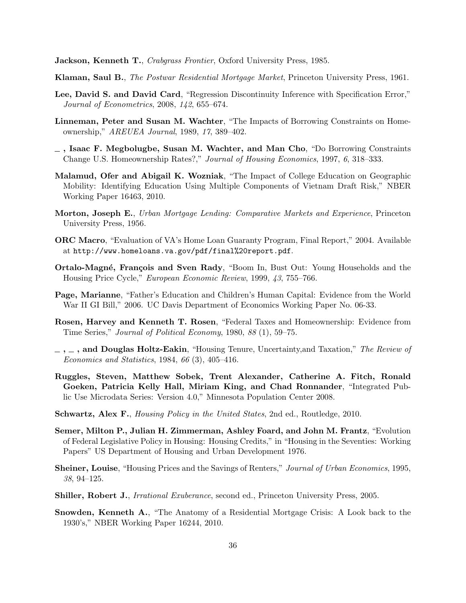**Jackson, Kenneth T.**, Crabgrass Frontier, Oxford University Press, 1985.

- Klaman, Saul B., The Postwar Residential Mortgage Market, Princeton University Press, 1961.
- Lee, David S. and David Card, "Regression Discontinuity Inference with Specification Error," Journal of Econometrics, 2008, 142, 655–674.
- Linneman, Peter and Susan M. Wachter, "The Impacts of Borrowing Constraints on Homeownership," AREUEA Journal, 1989, 17, 389–402.
- $\overline{\phantom{a}}$ , Isaac F. Megbolugbe, Susan M. Wachter, and Man Cho, "Do Borrowing Constraints Change U.S. Homeownership Rates?," Journal of Housing Economics, 1997, 6, 318–333.
- Malamud, Ofer and Abigail K. Wozniak, "The Impact of College Education on Geographic Mobility: Identifying Education Using Multiple Components of Vietnam Draft Risk," NBER Working Paper 16463, 2010.
- Morton, Joseph E., Urban Mortgage Lending: Comparative Markets and Experience, Princeton University Press, 1956.
- ORC Macro, "Evaluation of VA's Home Loan Guaranty Program, Final Report," 2004. Available at http://www.homeloans.va.gov/pdf/final%20report.pdf.
- Ortalo-Magné, François and Sven Rady, "Boom In, Bust Out: Young Households and the Housing Price Cycle," European Economic Review, 1999, 43, 755–766.
- Page, Marianne, "Father's Education and Children's Human Capital: Evidence from the World War II GI Bill," 2006. UC Davis Department of Economics Working Paper No. 06-33.
- Rosen, Harvey and Kenneth T. Rosen, "Federal Taxes and Homeownership: Evidence from Time Series," Journal of Political Economy, 1980, 88 (1), 59–75.
- $-$ ,  $-$ , and Douglas Holtz-Eakin, "Housing Tenure, Uncertainty, and Taxation," The Review of Economics and Statistics, 1984, 66 (3), 405–416.
- Ruggles, Steven, Matthew Sobek, Trent Alexander, Catherine A. Fitch, Ronald Goeken, Patricia Kelly Hall, Miriam King, and Chad Ronnander, "Integrated Public Use Microdata Series: Version 4.0," Minnesota Population Center 2008.
- Schwartz, Alex F., Housing Policy in the United States, 2nd ed., Routledge, 2010.
- Semer, Milton P., Julian H. Zimmerman, Ashley Foard, and John M. Frantz, "Evolution of Federal Legislative Policy in Housing: Housing Credits," in "Housing in the Seventies: Working Papers" US Department of Housing and Urban Development 1976.
- Sheiner, Louise, "Housing Prices and the Savings of Renters," Journal of Urban Economics, 1995, 38, 94–125.
- Shiller, Robert J., Irrational Exuberance, second ed., Princeton University Press, 2005.
- Snowden, Kenneth A., "The Anatomy of a Residential Mortgage Crisis: A Look back to the 1930's," NBER Working Paper 16244, 2010.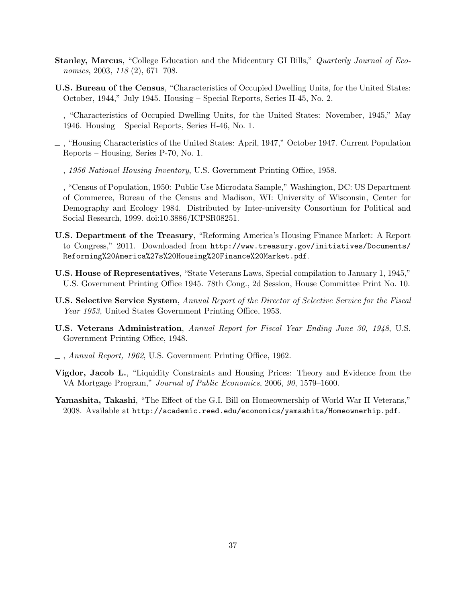- **Stanley, Marcus, "College Education and the Midcentury GI Bills," Quarterly Journal of Eco**nomics, 2003, 118 (2), 671-708.
- U.S. Bureau of the Census, "Characteristics of Occupied Dwelling Units, for the United States: October, 1944," July 1945. Housing – Special Reports, Series H-45, No. 2.
- , "Characteristics of Occupied Dwelling Units, for the United States: November, 1945," May 1946. Housing – Special Reports, Series H-46, No. 1.
- , "Housing Characteristics of the United States: April, 1947," October 1947. Current Population Reports – Housing, Series P-70, No. 1.
- , 1956 National Housing Inventory, U.S. Government Printing Office, 1958.
- , "Census of Population, 1950: Public Use Microdata Sample," Washington, DC: US Department of Commerce, Bureau of the Census and Madison, WI: University of Wisconsin, Center for Demography and Ecology 1984. Distributed by Inter-university Consortium for Political and Social Research, 1999. doi:10.3886/ICPSR08251.
- U.S. Department of the Treasury, "Reforming America's Housing Finance Market: A Report to Congress," 2011. Downloaded from http://www.treasury.gov/initiatives/Documents/ Reforming%20America%27s%20Housing%20Finance%20Market.pdf.
- U.S. House of Representatives, "State Veterans Laws, Special compilation to January 1, 1945," U.S. Government Printing Office 1945. 78th Cong., 2d Session, House Committee Print No. 10.
- U.S. Selective Service System, Annual Report of the Director of Selective Service for the Fiscal Year 1953, United States Government Printing Office, 1953.
- U.S. Veterans Administration, Annual Report for Fiscal Year Ending June 30, 1948, U.S. Government Printing Office, 1948.
- , Annual Report, 1962, U.S. Government Printing Office, 1962.
- Vigdor, Jacob L., "Liquidity Constraints and Housing Prices: Theory and Evidence from the VA Mortgage Program," Journal of Public Economics, 2006, 90, 1579–1600.
- Yamashita, Takashi, "The Effect of the G.I. Bill on Homeownership of World War II Veterans," 2008. Available at http://academic.reed.edu/economics/yamashita/Homeownerhip.pdf.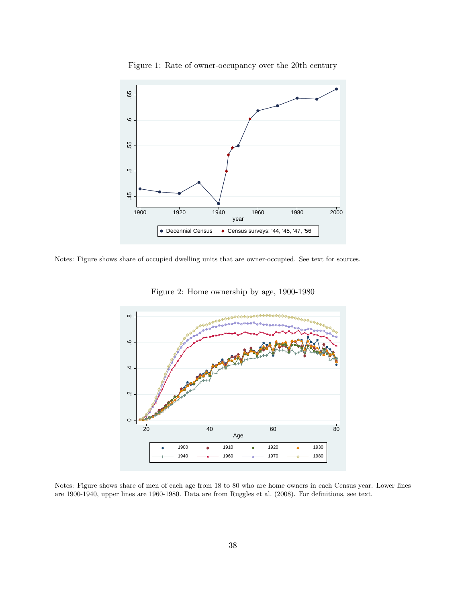

Figure 1: Rate of owner-occupancy over the 20th century

Notes: Figure shows share of occupied dwelling units that are owner-occupied. See text for sources.



Figure 2: Home ownership by age, 1900-1980

Notes: Figure shows share of men of each age from 18 to 80 who are home owners in each Census year. Lower lines are 1900-1940, upper lines are 1960-1980. Data are from Ruggles et al. (2008). For definitions, see text.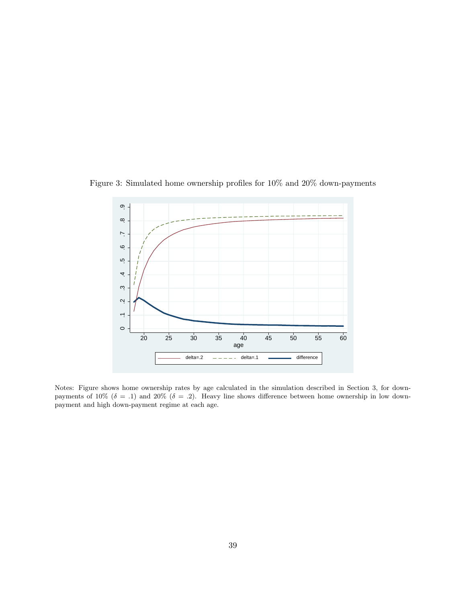

Figure 3: Simulated home ownership profiles for 10% and 20% down-payments

Notes: Figure shows home ownership rates by age calculated in the simulation described in Section 3, for downpayments of 10% ( $\delta = .1$ ) and 20% ( $\delta = .2$ ). Heavy line shows difference between home ownership in low downpayment and high down-payment regime at each age.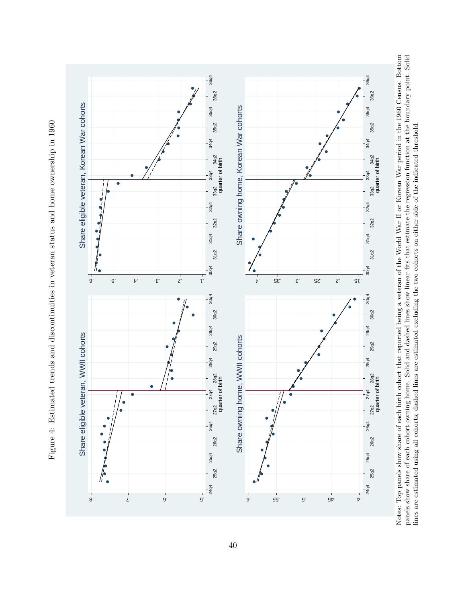



Notes: Top panels show share of each birth cohort that reported being a veteran of the World War II or Korean War period in the 1960 Census. Bottom panels show share of each cohort owning home. Solid and dashed lines show linear fits that estimate the regression function at the boundary point. Solid Notes: Top panels show share of each birth cohort that reported being a veteran of the World War II or Korean War period in the 1960 Census. Bottom panels show share of each cohort owning home. Solid and dashed lines show linear fits that estimate the regression function at the boundary point. Solid lines are estimated using all cohorts; dashed lines are estimated excluding the two cohorts on either side of the indicated threshold. lines are estimated using all cohorts; dashed lines are estimated excluding the two cohorts on either side of the indicated threshold.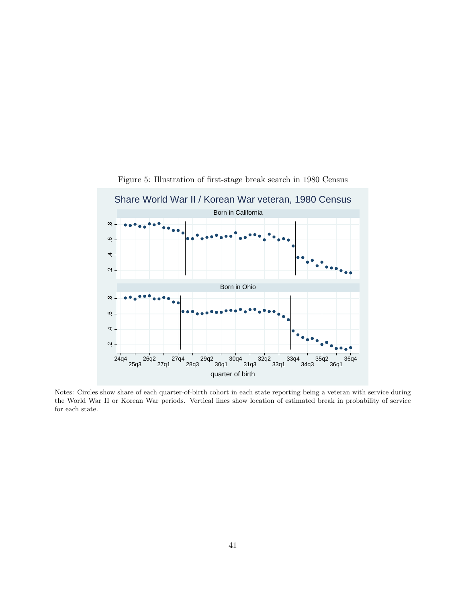

Figure 5: Illustration of first-stage break search in 1980 Census

Notes: Circles show share of each quarter-of-birth cohort in each state reporting being a veteran with service during the World War II or Korean War periods. Vertical lines show location of estimated break in probability of service for each state.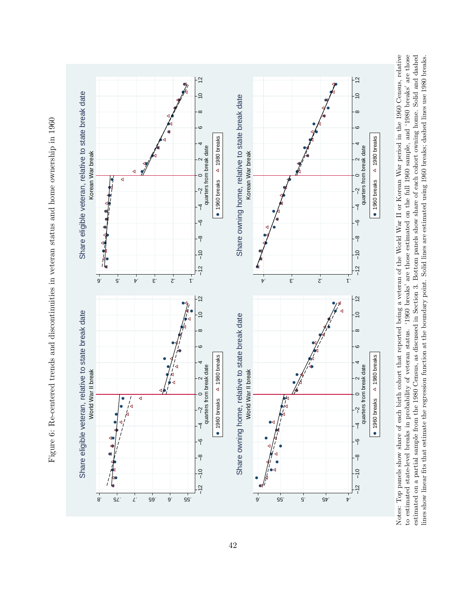

Figure 6: Re-centered trends and discontinuities in veteran status and home ownership in 1960 Figure 6: Re-centered trends and discontinuities in veteran status and home ownership in 1960 Notes: Top panels show share of each birth cohort that reported being a veteran of the World War II or Korean War period in the 1960 Census, relative to estimated state-level breaks in probability of veteran status. '1960 breaks' are those estimated on the full 1960 sample, and '1980 breaks' are those estimated on a partial sample from the 1980 Census, as discussed in Section 3. Bottom panels show share of each cohort owning home. Solid and dashed Notes: Top panels show share of each birth cohort that reported being a veteran of the World War II or Korean War period in the 1960 Census, relative to estimated state-level breaks in probability of veteran status. '1960 breaks' are those estimated on the full 1960 sample, and '1980 breaks' are those estimated on a partial sample from the 1980 Census, as discussed in Section 3. Bottom panels show share of each cohort owning home. Solid and dashed lines show linear fits that estimate the regression function at the boundary point. Solid lines are estimated using 1960 breaks; dashed lines use 1980 breaks. lines show linear fits that estimate the regression function at the boundary point. Solid lines are estimated using 1960 breaks; dashed lines use 1980 breaks.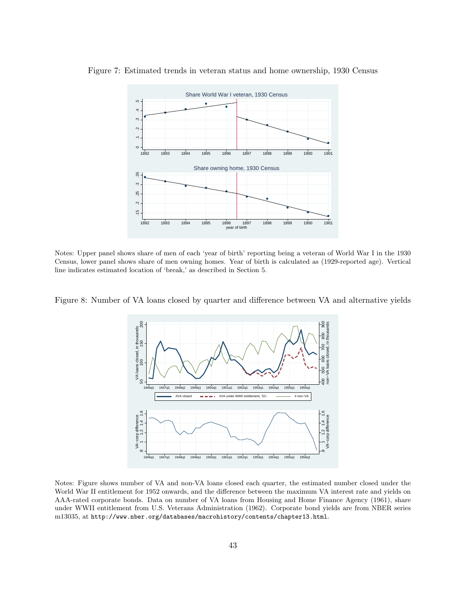

Figure 7: Estimated trends in veteran status and home ownership, 1930 Census

Notes: Upper panel shows share of men of each 'year of birth' reporting being a veteran of World War I in the 1930 Census, lower panel shows share of men owning homes. Year of birth is calculated as (1929-reported age). Vertical line indicates estimated location of 'break,' as described in Section 5.

Figure 8: Number of VA loans closed by quarter and difference between VA and alternative yields



Notes: Figure shows number of VA and non-VA loans closed each quarter, the estimated number closed under the World War II entitlement for 1952 onwards, and the difference between the maximum VA interest rate and yields on AAA-rated corporate bonds. Data on number of VA loans from Housing and Home Finance Agency (1961), share under WWII entitlement from U.S. Veterans Administration (1962). Corporate bond yields are from NBER series m13035, at http://www.nber.org/databases/macrohistory/contents/chapter13.html.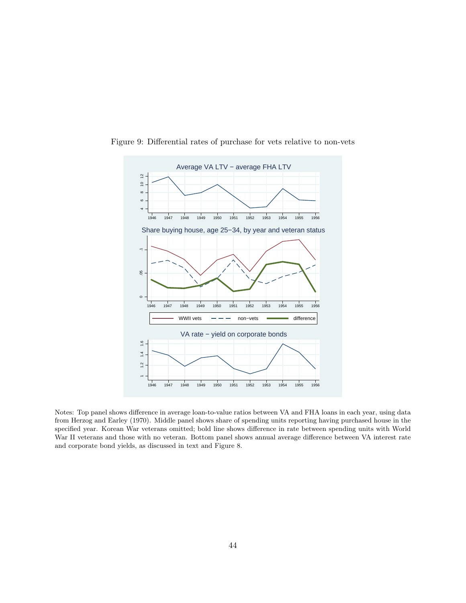

Figure 9: Differential rates of purchase for vets relative to non-vets

Notes: Top panel shows difference in average loan-to-value ratios between VA and FHA loans in each year, using data from Herzog and Earley (1970). Middle panel shows share of spending units reporting having purchased house in the specified year. Korean War veterans omitted; bold line shows difference in rate between spending units with World War II veterans and those with no veteran. Bottom panel shows annual average difference between VA interest rate and corporate bond yields, as discussed in text and Figure 8.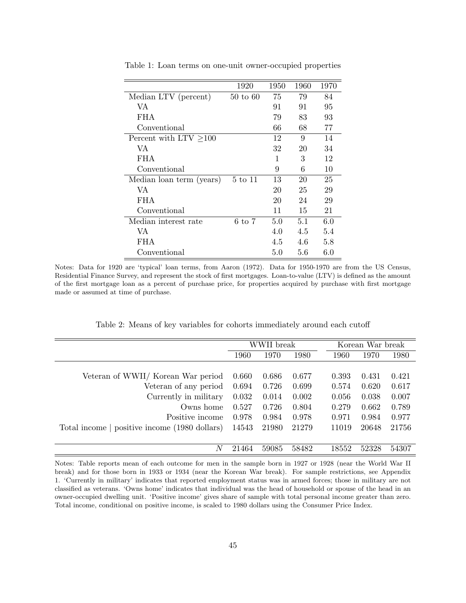|                          | 1920                | 1950 | 1960 | 1970 |
|--------------------------|---------------------|------|------|------|
| Median LTV (percent)     | $50 \text{ to } 60$ | 75   | 79   | 84   |
| VA.                      |                     | 91   | 91   | 95   |
| <b>FHA</b>               |                     | 79   | 83   | 93   |
| Conventional             |                     | 66   | 68   | 77   |
| Percent with $LTV > 100$ |                     | 12   | 9    | 14   |
| VA.                      |                     | 32   | 20   | 34   |
| <b>FHA</b>               |                     | 1    | 3    | 12   |
| Conventional             |                     | 9    | 6    | 10   |
| Median loan term (years) | 5 to 11             | 13   | 20   | 25   |
| VA                       |                     | 20   | 25   | 29   |
| FHA.                     |                     | 20   | 24   | 29   |
| Conventional             |                     | 11   | 15   | 21   |
| Median interest rate     | $6 \text{ to } 7$   | 5.0  | 5.1  | 6.0  |
| VA.                      |                     | 4.0  | 4.5  | 5.4  |
| <b>FHA</b>               |                     | 4.5  | 4.6  | 5.8  |
| Conventional             |                     | 5.0  | 5.6  | 6.0  |

Table 1: Loan terms on one-unit owner-occupied properties

Notes: Data for 1920 are 'typical' loan terms, from Aaron (1972). Data for 1950-1970 are from the US Census, Residential Finance Survey, and represent the stock of first mortgages. Loan-to-value (LTV) is defined as the amount of the first mortgage loan as a percent of purchase price, for properties acquired by purchase with first mortgage made or assumed at time of purchase.

| Table 2: Means of key variables for cohorts immediately around each cutoff |
|----------------------------------------------------------------------------|
|----------------------------------------------------------------------------|

|                                               |       | WWII break |       |       | Korean War break |       |
|-----------------------------------------------|-------|------------|-------|-------|------------------|-------|
|                                               | 1960  | 1970       | 1980  | 1960  | 1970             | 1980  |
|                                               |       |            |       |       |                  |       |
| Veteran of WWII/ Korean War period            | 0.660 | 0.686      | 0.677 | 0.393 | 0.431            | 0.421 |
| Veteran of any period                         | 0.694 | 0.726      | 0.699 | 0.574 | 0.620            | 0.617 |
| Currently in military                         | 0.032 | 0.014      | 0.002 | 0.056 | 0.038            | 0.007 |
| Owns home                                     | 0.527 | 0.726      | 0.804 | 0.279 | 0.662            | 0.789 |
| Positive income                               | 0.978 | 0.984      | 0.978 | 0.971 | 0.984            | 0.977 |
| Total income   positive income (1980 dollars) | 14543 | 21980      | 21279 | 11019 | 20648            | 21756 |
|                                               |       |            |       |       |                  |       |
| N                                             | 21464 | 59085      | 58482 | 18552 | 52328            | 54307 |

Notes: Table reports mean of each outcome for men in the sample born in 1927 or 1928 (near the World War II break) and for those born in 1933 or 1934 (near the Korean War break). For sample restrictions, see Appendix 1. 'Currently in military' indicates that reported employment status was in armed forces; those in military are not classified as veterans. 'Owns home' indicates that individual was the head of household or spouse of the head in an owner-occupied dwelling unit. 'Positive income' gives share of sample with total personal income greater than zero. Total income, conditional on positive income, is scaled to 1980 dollars using the Consumer Price Index.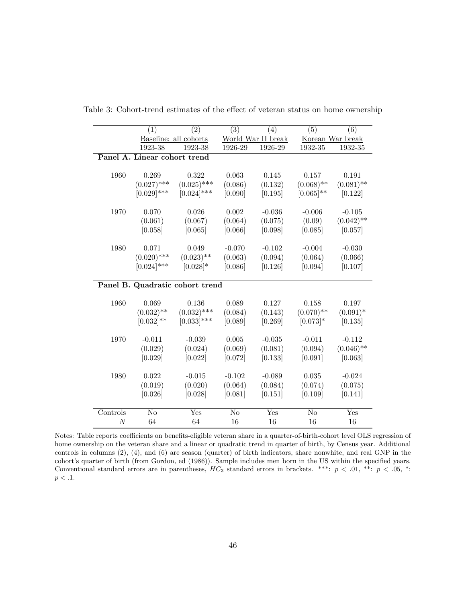|                  | (1)                          | (2)                             | $\overline{(3)}$       | (4)                | (5)                    | (6)              |
|------------------|------------------------------|---------------------------------|------------------------|--------------------|------------------------|------------------|
|                  |                              | Baseline: all cohorts           |                        | World War II break |                        | Korean War break |
|                  | 1923-38                      | 1923-38                         | 1926-29                | 1926-29            | 1932-35                | 1932-35          |
|                  | Panel A. Linear cohort trend |                                 |                        |                    |                        |                  |
|                  |                              |                                 |                        |                    |                        |                  |
| 1960             | 0.269                        | 0.322                           | 0.063                  | 0.145              | 0.157                  | 0.191            |
|                  | $(0.027)$ ***                | $(0.025)$ ***                   | (0.086)                | (0.132)            | $(0.068)$ **           | $(0.081)$ **     |
|                  | $[0.029]$ ***                | $[0.024]$ ***                   | [0.090]                | [0.195]            | $[0.065]$ **           | [0.122]          |
|                  |                              |                                 |                        |                    |                        |                  |
| 1970             | 0.070                        | 0.026                           | $0.002\,$              | $-0.036$           | $-0.006$               | $-0.105$         |
|                  | (0.061)                      | (0.067)                         | (0.064)                | (0.075)            | (0.09)                 | $(0.042)$ **     |
|                  | [0.058]                      | [0.065]                         | [0.066]                | [0.098]            | [0.085]                | [0.057]          |
| 1980             | 0.071                        | 0.049                           | $-0.070$               | $-0.102$           | $-0.004$               | $-0.030$         |
|                  | $(0.020)$ ***                | $(0.023)$ **                    | (0.063)                | (0.094)            | (0.064)                | (0.066)          |
|                  | $[0.024]$ ***                | $[0.028]*$                      | [0.086]                | [0.126]            | [0.094]                | [0.107]          |
|                  |                              |                                 |                        |                    |                        |                  |
|                  |                              | Panel B. Quadratic cohort trend |                        |                    |                        |                  |
| 1960             | 0.069                        | 0.136                           | 0.089                  | 0.127              | 0.158                  | 0.197            |
|                  | $(0.032)$ **                 | $(0.032)$ ***                   | (0.084)                | (0.143)            | $(0.070)$ **           | $(0.091)^*$      |
|                  | $[0.032]$ **                 | $[0.033]$ ***                   | [0.089]                | [0.269]            | $[0.073]*$             | [0.135]          |
|                  |                              |                                 |                        |                    |                        |                  |
| 1970             | $-0.011$                     | $-0.039$                        | 0.005                  | $-0.035$           | $-0.011$               | $-0.112$         |
|                  | (0.029)                      | (0.024)                         | (0.069)                | (0.081)            | (0.094)                | $(0.046)$ **     |
|                  | [0.029]                      | [0.022]                         | [0.072]                | [0.133]            | [0.091]                | [0.063]          |
| 1980             | 0.022                        | $-0.015$                        | $-0.102$               | $-0.089$           | 0.035                  | $-0.024$         |
|                  | (0.019)                      | (0.020)                         | (0.064)                | (0.084)            | (0.074)                | (0.075)          |
|                  | [0.026]                      | [0.028]                         | [0.081]                | [0.151]            | [0.109]                | [0.141]          |
|                  |                              |                                 |                        |                    |                        |                  |
| Controls         | N <sub>o</sub>               | Yes                             | $\overline{\text{No}}$ | Yes                | $\overline{\text{No}}$ | Yes              |
| $\boldsymbol{N}$ | 64                           | 64                              | 16                     | 16                 | 16                     | 16               |

Table 3: Cohort-trend estimates of the effect of veteran status on home ownership

Notes: Table reports coefficients on benefits-eligible veteran share in a quarter-of-birth-cohort level OLS regression of home ownership on the veteran share and a linear or quadratic trend in quarter of birth, by Census year. Additional controls in columns (2), (4), and (6) are season (quarter) of birth indicators, share nonwhite, and real GNP in the cohort's quarter of birth (from Gordon, ed (1986)). Sample includes men born in the US within the specified years. Conventional standard errors are in parentheses,  $HC_3$  standard errors in brackets. \*\*\*:  $p < .01$ , \*\*:  $p < .05$ , \*:  $p < .1$ .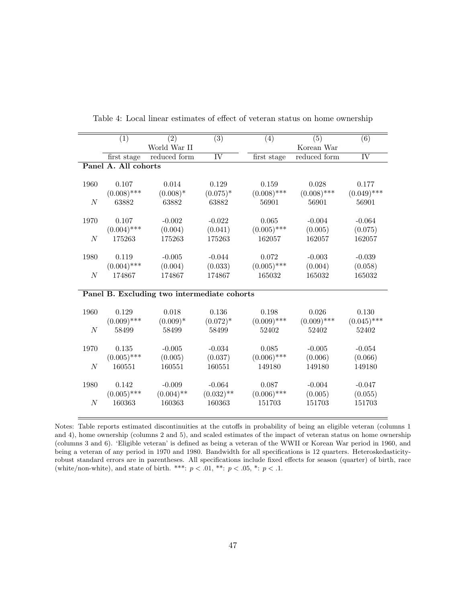|                  | (1)                  | (2)                                         | $\overline{(3)}$       | (4)           | (5)           | $\overline{(6)}$       |
|------------------|----------------------|---------------------------------------------|------------------------|---------------|---------------|------------------------|
|                  |                      | World War II                                |                        |               | Korean War    |                        |
|                  | first stage          | reduced form                                | $\overline{\text{IV}}$ | first stage   | reduced form  | $\overline{\text{IV}}$ |
|                  | Panel A. All cohorts |                                             |                        |               |               |                        |
|                  |                      |                                             |                        |               |               |                        |
| 1960             | 0.107                | 0.014                                       | 0.129                  | 0.159         | 0.028         | 0.177                  |
|                  | $(0.008)$ ***        | $(0.008)*$                                  | $(0.075)^*$            | $(0.008)$ *** | $(0.008)$ *** | $(0.049)$ ***          |
| N                | 63882                | 63882                                       | 63882                  | 56901         | 56901         | 56901                  |
|                  |                      |                                             |                        |               |               |                        |
| 1970             | 0.107                | $-0.002$                                    | $-0.022$               | 0.065         | $-0.004$      | $-0.064$               |
|                  | $(0.004)$ ***        | (0.004)                                     | (0.041)                | $(0.005)$ *** | (0.005)       | (0.075)                |
| N                | 175263               | 175263                                      | 175263                 | 162057        | 162057        | 162057                 |
|                  |                      |                                             |                        |               |               |                        |
| 1980             | 0.119                | $-0.005$                                    | $-0.044$               | 0.072         | $-0.003$      | $-0.039$               |
|                  | $(0.004)$ ***        | (0.004)                                     | (0.033)                | $(0.005)$ *** | (0.004)       | (0.058)                |
| $\boldsymbol{N}$ | 174867               | 174867                                      | 174867                 | 165032        | 165032        | 165032                 |
|                  |                      |                                             |                        |               |               |                        |
|                  |                      | Panel B. Excluding two intermediate cohorts |                        |               |               |                        |
| 1960             | 0.129                | 0.018                                       | 0.136                  | 0.198         | 0.026         | 0.130                  |
|                  | $(0.009)$ ***        | $(0.009)*$                                  | $(0.072)^*$            | $(0.009)$ *** | $(0.009)$ *** | $(0.045)$ ***          |
| $\boldsymbol{N}$ | 58499                | 58499                                       | 58499                  | 52402         | 52402         | 52402                  |
|                  |                      |                                             |                        |               |               |                        |
| 1970             | 0.135                | $-0.005$                                    | $-0.034$               | 0.085         | $-0.005$      | $-0.054$               |
|                  | $(0.005)$ ***        | (0.005)                                     | (0.037)                | $(0.006)$ *** | (0.006)       | (0.066)                |
| $\boldsymbol{N}$ | 160551               | 160551                                      | 160551                 | 149180        | 149180        | 149180                 |
|                  |                      |                                             |                        |               |               |                        |
| 1980             | 0.142                | $-0.009$                                    | $-0.064$               | 0.087         | $-0.004$      | $-0.047$               |
|                  | $(0.005)$ ***        | $(0.004)$ **                                | $(0.032)$ **           | $(0.006)$ *** | (0.005)       | (0.055)                |
| $\boldsymbol{N}$ | 160363               | 160363                                      | 160363                 | 151703        | 151703        | 151703                 |
|                  |                      |                                             |                        |               |               |                        |
|                  |                      |                                             |                        |               |               |                        |

Table 4: Local linear estimates of effect of veteran status on home ownership

Notes: Table reports estimated discontinuities at the cutoffs in probability of being an eligible veteran (columns 1 and 4), home ownership (columns 2 and 5), and scaled estimates of the impact of veteran status on home ownership (columns 3 and 6). 'Eligible veteran' is defined as being a veteran of the WWII or Korean War period in 1960, and being a veteran of any period in 1970 and 1980. Bandwidth for all specifications is 12 quarters. Heteroskedasticityrobust standard errors are in parentheses. All specifications include fixed effects for season (quarter) of birth, race (white/non-white), and state of birth. \*\*\*:  $p < .01$ , \*\*:  $p < .05$ , \*:  $p < .1$ .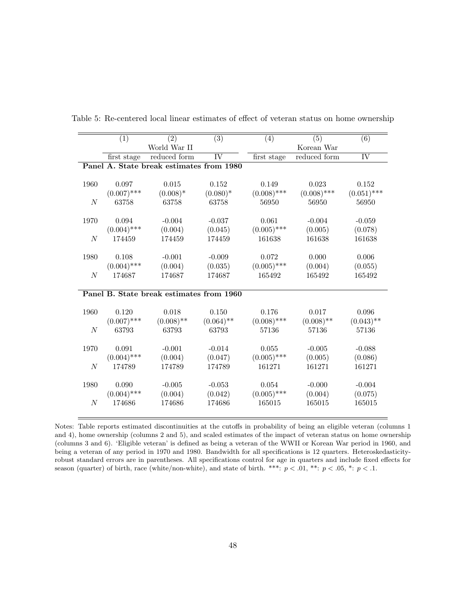|                  | (1)           | (2)                                      | $\overline{(3)}$    | (4)           | (5)           | $\overline{(6)}$       |
|------------------|---------------|------------------------------------------|---------------------|---------------|---------------|------------------------|
|                  |               | World War II                             |                     |               | Korean War    |                        |
|                  | first stage   | reduced form                             | $\overline{\rm IV}$ | first stage   | reduced form  | $\overline{\text{IV}}$ |
|                  |               | Panel A. State break estimates from 1980 |                     |               |               |                        |
|                  |               |                                          |                     |               |               |                        |
| 1960             | 0.097         | 0.015                                    | 0.152               | 0.149         | 0.023         | 0.152                  |
|                  | $(0.007)$ *** | $(0.008)*$                               | $(0.080)*$          | $(0.008)$ *** | $(0.008)$ *** | $(0.051)$ ***          |
| $\boldsymbol{N}$ | 63758         | 63758                                    | 63758               | 56950         | 56950         | 56950                  |
|                  |               |                                          |                     |               |               |                        |
| 1970             | 0.094         | $-0.004$                                 | $-0.037$            | 0.061         | $-0.004$      | $-0.059$               |
|                  | $(0.004)$ *** | (0.004)                                  | (0.045)             | $(0.005)$ *** | (0.005)       | (0.078)                |
| $\boldsymbol{N}$ | 174459        | 174459                                   | 174459              | 161638        | 161638        | 161638                 |
|                  |               |                                          |                     |               |               |                        |
| 1980             | 0.108         | $-0.001$                                 | $-0.009$            | 0.072         | 0.000         | 0.006                  |
|                  | $(0.004)$ *** | (0.004)                                  | (0.035)             | $(0.005)$ *** | (0.004)       | (0.055)                |
| $\boldsymbol{N}$ | 174687        | 174687                                   | 174687              | 165492        | 165492        | 165492                 |
|                  |               |                                          |                     |               |               |                        |
|                  |               | Panel B. State break estimates from 1960 |                     |               |               |                        |
|                  |               |                                          |                     |               |               |                        |
| 1960             | 0.120         | 0.018                                    | 0.150               | 0.176         | 0.017         | 0.096                  |
|                  | $(0.007)$ *** | $(0.008)$ **                             | $(0.064)$ **        | $(0.008)$ *** | $(0.008)$ **  | $(0.043)$ **           |
| $\boldsymbol{N}$ | 63793         | 63793                                    | 63793               | 57136         | 57136         | 57136                  |
|                  |               |                                          |                     |               |               |                        |
| 1970             | 0.091         | $-0.001$                                 | $-0.014$            | 0.055         | $-0.005$      | $-0.088$               |
|                  | $(0.004)$ *** | (0.004)                                  | (0.047)             | $(0.005)$ *** | (0.005)       | (0.086)                |
| $\boldsymbol{N}$ | 174789        | 174789                                   | 174789              | 161271        | 161271        | 161271                 |
|                  |               |                                          |                     |               |               |                        |
| 1980             | 0.090         | $-0.005$                                 | $-0.053$            | 0.054         | $-0.000$      | $-0.004$               |
|                  | $(0.004)$ *** | (0.004)                                  | (0.042)             | $(0.005)$ *** | (0.004)       | (0.075)                |
| $\overline{N}$   | 174686        | 174686                                   | 174686              | 165015        | 165015        | 165015                 |
|                  |               |                                          |                     |               |               |                        |
|                  |               |                                          |                     |               |               |                        |

Table 5: Re-centered local linear estimates of effect of veteran status on home ownership

Notes: Table reports estimated discontinuities at the cutoffs in probability of being an eligible veteran (columns 1 and 4), home ownership (columns 2 and 5), and scaled estimates of the impact of veteran status on home ownership (columns 3 and 6). 'Eligible veteran' is defined as being a veteran of the WWII or Korean War period in 1960, and being a veteran of any period in 1970 and 1980. Bandwidth for all specifications is 12 quarters. Heteroskedasticityrobust standard errors are in parentheses. All specifications control for age in quarters and include fixed effects for season (quarter) of birth, race (white/non-white), and state of birth. \*\*\*:  $p < .01$ , \*\*:  $p < .05$ , \*:  $p < .1$ .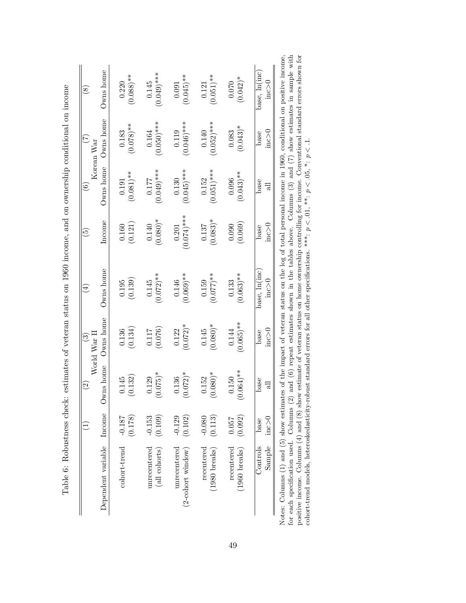|                                       |                  | $\widehat{c}$            | World War II<br>$\widehat{\mathbf{G}}$ | $\widehat{\mathbb{E}}$ | $\widetilde{\mathcal{G}}$ | $\widehat{\circ}$     | E<br>Korean War      | $\circledast$        |
|---------------------------------------|------------------|--------------------------|----------------------------------------|------------------------|---------------------------|-----------------------|----------------------|----------------------|
| Dependent variable                    | Income           | Owns home                | Owns home                              | Owns home              | Income                    | Owns home             | Owns home            | Owns home            |
| cohort-trend                          | (0.178)          | (0.132)                  | (0.134)                                | (0.139)                | (0.121)                   | $(0.081)$ **          | $(0.078)$ **         | $(0.088)$ **         |
|                                       | $-0.181$         | 0.145                    | 0.136                                  | 0.195                  | 0.160                     | $\,0.191\,$           | 0.183                | 0.220                |
| unrecentered                          | (0.109)          | $(0.075)^*$              | (0.076)                                | $(0.072)$ **           | $(0.080)*$                | $(0.049)$ ***         | $(0.050)$ ***        | $(0.049)$ ***        |
| (all cohorts)                         | $-0.153$         | 0.129                    | 0.117                                  | 0.145                  | 0.140                     | 0.177                 | 0.164                | 0.145                |
| unrecentered                          | (0.102)          | $0.072$ <sup>*</sup>     | $(0.072)^*$                            | $(0.069)$ **           | $(0.074)$ ***             | $(0.045)$ ***         | $(0.046)$ ***        | $(0.045)$ **         |
| $(2$ -cohort window)                  | $-0.129$         | 0.136                    | 0.122                                  | 0.146                  | 0.201                     | 0.130                 | 0.119                | 0.091                |
| recentered                            | (0.113)          | $(0.080)*$               | $(0.080)*$                             | $(0.077)$ **           | $(0.083)*$                | $(0.051)$ ***         | $(0.052)$ ***        | $(0.051)$ **         |
| $(1980)$ breaks)                      | $-0.080$         | 0.152                    | 0.145                                  | 0.159                  | 0.137                     | 0.152                 | $0.140\,$            | 0.121                |
| recentered<br>$(1960 \text{ breaks})$ | (0.092)<br>0.057 | $**(1001)$<br>0.150<br>S | $(0.065)$ **<br>0.144                  | $(0.063)$ **<br>0.133  | (0.069)<br>0.090          | $(0.043)$ **<br>0.096 | $(0.043)^*$<br>0.083 | $(0.042)^*$<br>0.070 |
| Sample                                | inc > 0          | base                     | inc > 0                                | base, ln(inc           | $\sum_{i=1}^{n}$          | base                  | $\ln c > 0$          | base, ln(inc)        |
| Controls                              | base             | $\exists$                | base                                   | $\sum_{i=1}^{n}$       | base                      | 긚                     | base                 | inc > 0              |

| $\frac{1}{2}$                                                                                                                                              | )<br>Contractor |  | )<br> <br>                                                                                                | )<br> <br> |  | )<br>Danis |
|------------------------------------------------------------------------------------------------------------------------------------------------------------|-----------------|--|-----------------------------------------------------------------------------------------------------------|------------|--|------------|
| Notes: Columns $(1)$ and $(5)$ show estimates of the impact of veteran status on the log of total personal income in 1960, conditional on positive income, |                 |  |                                                                                                           |            |  |            |
| for each specification used. Columns (2)                                                                                                                   |                 |  | ) and (6) repeat estimates shown in the tables above. Columns (3) and $(7)$ show estimates in sample with |            |  |            |
| positive income. Columns $(4)$ and $(8)$ show estimate of veteran status on home ownership controlling for income. Conventional standard errors shown for  |                 |  |                                                                                                           |            |  |            |
| cohort-trend models, heteroskedasticity-re                                                                                                                 |                 |  | obust standard errors for all other specifications. ***: $p < .01$ , **: $p < .05$ , *: $p < .1$ .        |            |  |            |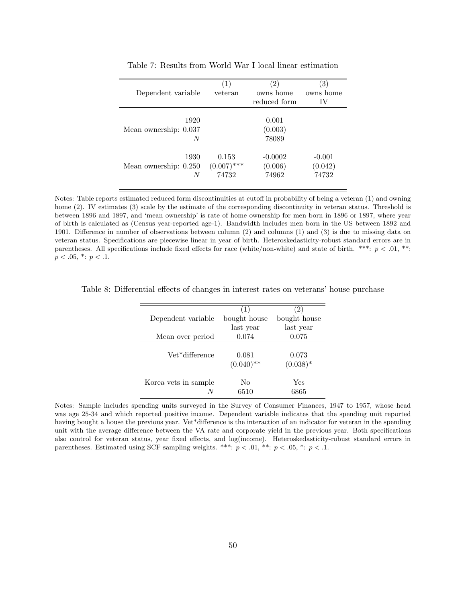|                       | $\left(1\right)$ | 2)           | 3)        |
|-----------------------|------------------|--------------|-----------|
| Dependent variable    | veteran          | owns home    | owns home |
|                       |                  | reduced form | IV        |
|                       |                  |              |           |
| 1920                  |                  | 0.001        |           |
| Mean ownership: 0.037 |                  | (0.003)      |           |
| N                     |                  | 78089        |           |
|                       |                  |              |           |
| 1930                  | 0.153            | $-0.0002$    | $-0.001$  |
| Mean ownership: 0.250 | $(0.007)$ ***    | (0.006)      | (0.042)   |
| N                     | 74732            | 74962        | 74732     |
|                       |                  |              |           |

Table 7: Results from World War I local linear estimation

Notes: Table reports estimated reduced form discontinuities at cutoff in probability of being a veteran (1) and owning home (2). IV estimates (3) scale by the estimate of the corresponding discontinuity in veteran status. Threshold is between 1896 and 1897, and 'mean ownership' is rate of home ownership for men born in 1896 or 1897, where year of birth is calculated as (Census year-reported age-1). Bandwidth includes men born in the US between 1892 and 1901. Difference in number of observations between column (2) and columns (1) and (3) is due to missing data on veteran status. Specifications are piecewise linear in year of birth. Heteroskedasticity-robust standard errors are in parentheses. All specifications include fixed effects for race (white/non-white) and state of birth. \*\*\*:  $p < .01$ , \*\*:  $p < .05, *: p < .1.$ 

|                      | (1)          | (2)          |
|----------------------|--------------|--------------|
| Dependent variable   | bought house | bought house |
|                      | last year    | last year    |
| Mean over period     | 0.074        | 0.075        |
|                      |              |              |
| Vet*difference       | 0.081        | 0.073        |
|                      | $(0.040)$ ** | $(0.038)^*$  |
| Korea vets in sample | No           | Yes          |
|                      | 6510         | 6865         |

Table 8: Differential effects of changes in interest rates on veterans' house purchase

Notes: Sample includes spending units surveyed in the Survey of Consumer Finances, 1947 to 1957, whose head was age 25-34 and which reported positive income. Dependent variable indicates that the spending unit reported having bought a house the previous year. Vet\*difference is the interaction of an indicator for veteran in the spending unit with the average difference between the VA rate and corporate yield in the previous year. Both specifications also control for veteran status, year fixed effects, and log(income). Heteroskedasticity-robust standard errors in parentheses. Estimated using SCF sampling weights. \*\*\*:  $p < .01$ , \*\*:  $p < .05$ , \*:  $p < .1$ .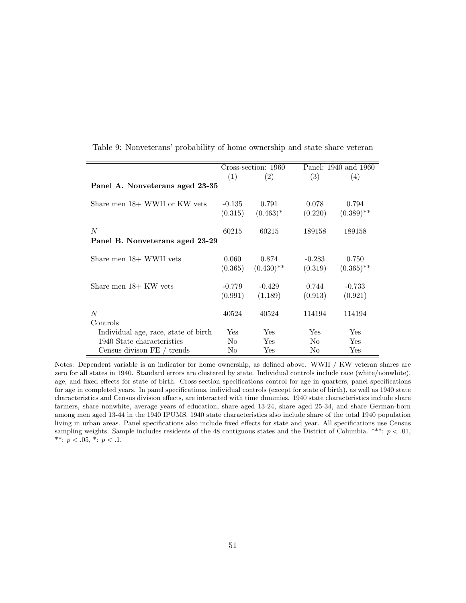|                                      |                | Cross-section: 1960 |          | Panel: 1940 and 1960 |
|--------------------------------------|----------------|---------------------|----------|----------------------|
|                                      | (1)            | $\left( 2\right)$   | (3)      | (4)                  |
| Panel A. Nonveterans aged 23-35      |                |                     |          |                      |
|                                      |                |                     |          |                      |
| Share men 18+ WWII or KW vets        | $-0.135$       | 0.791               | 0.078    | 0.794                |
|                                      | (0.315)        | $(0.463)^*$         | (0.220)  | $(0.389)$ **         |
|                                      |                |                     |          |                      |
| N                                    | 60215          | 60215               | 189158   | 189158               |
| Panel B. Nonveterans aged 23-29      |                |                     |          |                      |
|                                      |                |                     |          |                      |
| Share men 18+ WWII vets              | 0.060          | 0.874               | $-0.283$ | 0.750                |
|                                      | (0.365)        | $(0.430)$ **        | (0.319)  | $(0.365)$ **         |
|                                      |                |                     |          |                      |
| Share men $18+$ KW vets              | $-0.779$       | $-0.429$            | 0.744    | $-0.733$             |
|                                      | (0.991)        | (1.189)             | (0.913)  | (0.921)              |
|                                      |                |                     |          |                      |
| $\boldsymbol{N}$                     | 40524          | 40524               | 114194   | 114194               |
| Controls                             |                |                     |          |                      |
| Individual age, race, state of birth | Yes            | Yes                 | Yes      | Yes                  |
| 1940 State characteristics           | No             | Yes                 | No.      | Yes                  |
| Census divison FE / trends           | N <sub>0</sub> | Yes                 | No       | Yes                  |

Table 9: Nonveterans' probability of home ownership and state share veteran

Notes: Dependent variable is an indicator for home ownership, as defined above. WWII / KW veteran shares are zero for all states in 1940. Standard errors are clustered by state. Individual controls include race (white/nonwhite), age, and fixed effects for state of birth. Cross-section specifications control for age in quarters, panel specifications for age in completed years. In panel specifications, individual controls (except for state of birth), as well as 1940 state characteristics and Census division effects, are interacted with time dummies. 1940 state characteristics include share farmers, share nonwhite, average years of education, share aged 13-24, share aged 25-34, and share German-born among men aged 13-44 in the 1940 IPUMS. 1940 state characteristics also include share of the total 1940 population living in urban areas. Panel specifications also include fixed effects for state and year. All specifications use Census sampling weights. Sample includes residents of the 48 contiguous states and the District of Columbia. \*\*\*:  $p < .01$ , \*\*:  $p < .05$ , \*:  $p < .1$ .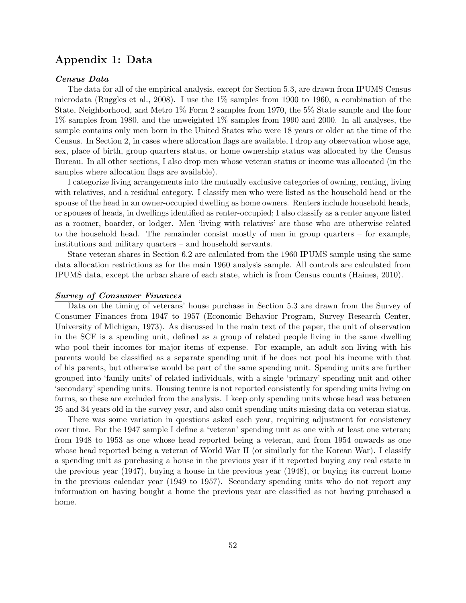# Appendix 1: Data

#### Census Data

The data for all of the empirical analysis, except for Section 5.3, are drawn from IPUMS Census microdata (Ruggles et al., 2008). I use the  $1\%$  samples from 1900 to 1960, a combination of the State, Neighborhood, and Metro 1% Form 2 samples from 1970, the 5% State sample and the four 1% samples from 1980, and the unweighted 1% samples from 1990 and 2000. In all analyses, the sample contains only men born in the United States who were 18 years or older at the time of the Census. In Section 2, in cases where allocation flags are available, I drop any observation whose age, sex, place of birth, group quarters status, or home ownership status was allocated by the Census Bureau. In all other sections, I also drop men whose veteran status or income was allocated (in the samples where allocation flags are available).

I categorize living arrangements into the mutually exclusive categories of owning, renting, living with relatives, and a residual category. I classify men who were listed as the household head or the spouse of the head in an owner-occupied dwelling as home owners. Renters include household heads, or spouses of heads, in dwellings identified as renter-occupied; I also classify as a renter anyone listed as a roomer, boarder, or lodger. Men 'living with relatives' are those who are otherwise related to the household head. The remainder consist mostly of men in group quarters – for example, institutions and military quarters – and household servants.

State veteran shares in Section 6.2 are calculated from the 1960 IPUMS sample using the same data allocation restrictions as for the main 1960 analysis sample. All controls are calculated from IPUMS data, except the urban share of each state, which is from Census counts (Haines, 2010).

#### Survey of Consumer Finances

Data on the timing of veterans' house purchase in Section 5.3 are drawn from the Survey of Consumer Finances from 1947 to 1957 (Economic Behavior Program, Survey Research Center, University of Michigan, 1973). As discussed in the main text of the paper, the unit of observation in the SCF is a spending unit, defined as a group of related people living in the same dwelling who pool their incomes for major items of expense. For example, an adult son living with his parents would be classified as a separate spending unit if he does not pool his income with that of his parents, but otherwise would be part of the same spending unit. Spending units are further grouped into 'family units' of related individuals, with a single 'primary' spending unit and other 'secondary' spending units. Housing tenure is not reported consistently for spending units living on farms, so these are excluded from the analysis. I keep only spending units whose head was between 25 and 34 years old in the survey year, and also omit spending units missing data on veteran status.

There was some variation in questions asked each year, requiring adjustment for consistency over time. For the 1947 sample I define a 'veteran' spending unit as one with at least one veteran; from 1948 to 1953 as one whose head reported being a veteran, and from 1954 onwards as one whose head reported being a veteran of World War II (or similarly for the Korean War). I classify a spending unit as purchasing a house in the previous year if it reported buying any real estate in the previous year (1947), buying a house in the previous year (1948), or buying its current home in the previous calendar year (1949 to 1957). Secondary spending units who do not report any information on having bought a home the previous year are classified as not having purchased a home.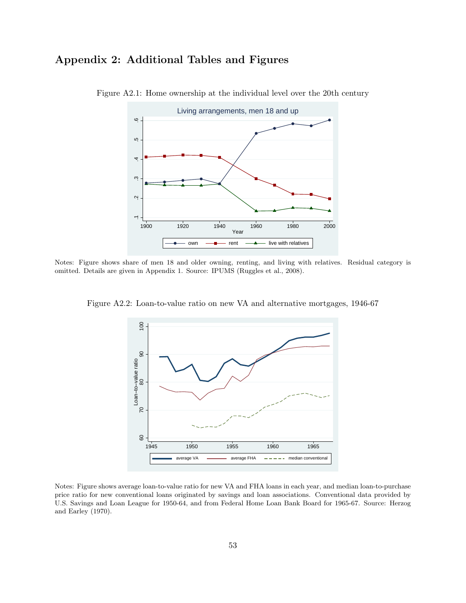# Appendix 2: Additional Tables and Figures



Figure A2.1: Home ownership at the individual level over the 20th century

Notes: Figure shows share of men 18 and older owning, renting, and living with relatives. Residual category is omitted. Details are given in Appendix 1. Source: IPUMS (Ruggles et al., 2008).



Figure A2.2: Loan-to-value ratio on new VA and alternative mortgages, 1946-67

Notes: Figure shows average loan-to-value ratio for new VA and FHA loans in each year, and median loan-to-purchase price ratio for new conventional loans originated by savings and loan associations. Conventional data provided by U.S. Savings and Loan League for 1950-64, and from Federal Home Loan Bank Board for 1965-67. Source: Herzog and Earley (1970).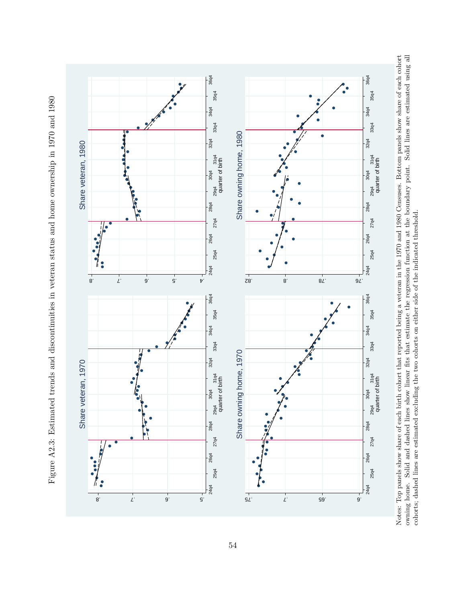

Figure A2.3: Estimated trends and discontinuities in veteran status and home ownership in 1970 and 1980 Figure A2.3: Estimated trends and discontinuities in veteran status and home ownership in 1970 and 1980 Notes: Top panels show share of each birth cohort that reported being a veteran in the 1970 and 1980 Censuses. Bottom panels show share of each cohort owning home. Solid and dashed lines show linear fits that estimate the regression function at the boundary point. Solid lines are estimated using all Notes: Top panels show share of each birth cohort that reported being a veteran in the 1970 and 1980 Censuses. Bottom panels show share of each cohort owning home. Solid and dashed lines show linear fits that estimate the regression function at the boundary point. Solid lines are estimated using all cohorts; dashed lines are estimated excluding the two cohorts on either side of the indicated threshold. cohorts; dashed lines are estimated excluding the two cohorts on either side of the indicated threshold.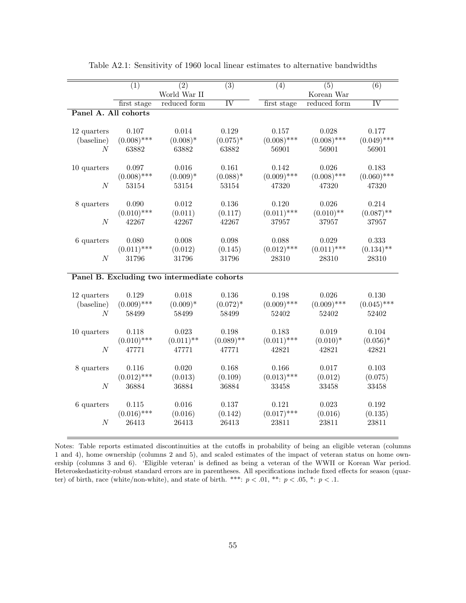| $\overline{(3)}$<br>$\overline{(1)}$<br>$\overline{(2)}$<br>$\overline{(4)}$<br>$\overline{(5)}$<br>$\overline{(6)}$<br>World War II<br>Korean War<br>IV<br>$\overline{\text{IV}}$<br>reduced form<br>reduced form<br>first stage<br>first stage<br>Panel A. All cohorts<br>0.028<br>0.107<br>0.014<br>0.129<br>0.157<br>0.177<br>12 quarters<br>$(0.008)$ ***<br>$(0.008)$ ***<br>$(0.008)*$<br>$(0.008)$ ***<br>$(0.049)$ ***<br>$(0.075)^*$<br>(baseline)<br>N<br>63882<br>63882<br>63882<br>56901<br>56901<br>56901<br>0.016<br>0.161<br>0.026<br>0.097<br>0.142<br>0.183<br>10 quarters<br>$(0.008)$ ***<br>$(0.009)$ ***<br>$(0.008)$ ***<br>$(0.060)$ ***<br>$(0.009)*$<br>$(0.088)*$<br>$\cal N$<br>53154<br>53154<br>53154<br>47320<br>47320<br>47320<br>0.214<br>0.090<br>0.012<br>0.136<br>0.120<br>0.026<br>8 quarters<br>$(0.010)$ ***<br>$(0.011)$ ***<br>$(0.010)$ **<br>$(0.087)$ **<br>(0.011)<br>(0.117)<br>42267<br>37957<br>37957<br>N<br>42267<br>42267<br>37957<br>$6$ quarters<br>0.080<br>0.008<br>0.098<br>0.088<br>0.029<br>0.333<br>$(0.011)$ ***<br>$(0.012)$ ***<br>$(0.011)$ ***<br>$(0.134)$ **<br>(0.012)<br>(0.145)<br>N<br>31796<br>31796<br>31796<br>28310<br>28310<br>28310 |
|-----------------------------------------------------------------------------------------------------------------------------------------------------------------------------------------------------------------------------------------------------------------------------------------------------------------------------------------------------------------------------------------------------------------------------------------------------------------------------------------------------------------------------------------------------------------------------------------------------------------------------------------------------------------------------------------------------------------------------------------------------------------------------------------------------------------------------------------------------------------------------------------------------------------------------------------------------------------------------------------------------------------------------------------------------------------------------------------------------------------------------------------------------------------------------------------------------------------|
|                                                                                                                                                                                                                                                                                                                                                                                                                                                                                                                                                                                                                                                                                                                                                                                                                                                                                                                                                                                                                                                                                                                                                                                                                 |
|                                                                                                                                                                                                                                                                                                                                                                                                                                                                                                                                                                                                                                                                                                                                                                                                                                                                                                                                                                                                                                                                                                                                                                                                                 |
|                                                                                                                                                                                                                                                                                                                                                                                                                                                                                                                                                                                                                                                                                                                                                                                                                                                                                                                                                                                                                                                                                                                                                                                                                 |
|                                                                                                                                                                                                                                                                                                                                                                                                                                                                                                                                                                                                                                                                                                                                                                                                                                                                                                                                                                                                                                                                                                                                                                                                                 |
|                                                                                                                                                                                                                                                                                                                                                                                                                                                                                                                                                                                                                                                                                                                                                                                                                                                                                                                                                                                                                                                                                                                                                                                                                 |
|                                                                                                                                                                                                                                                                                                                                                                                                                                                                                                                                                                                                                                                                                                                                                                                                                                                                                                                                                                                                                                                                                                                                                                                                                 |
|                                                                                                                                                                                                                                                                                                                                                                                                                                                                                                                                                                                                                                                                                                                                                                                                                                                                                                                                                                                                                                                                                                                                                                                                                 |
|                                                                                                                                                                                                                                                                                                                                                                                                                                                                                                                                                                                                                                                                                                                                                                                                                                                                                                                                                                                                                                                                                                                                                                                                                 |
|                                                                                                                                                                                                                                                                                                                                                                                                                                                                                                                                                                                                                                                                                                                                                                                                                                                                                                                                                                                                                                                                                                                                                                                                                 |
|                                                                                                                                                                                                                                                                                                                                                                                                                                                                                                                                                                                                                                                                                                                                                                                                                                                                                                                                                                                                                                                                                                                                                                                                                 |
|                                                                                                                                                                                                                                                                                                                                                                                                                                                                                                                                                                                                                                                                                                                                                                                                                                                                                                                                                                                                                                                                                                                                                                                                                 |
|                                                                                                                                                                                                                                                                                                                                                                                                                                                                                                                                                                                                                                                                                                                                                                                                                                                                                                                                                                                                                                                                                                                                                                                                                 |
|                                                                                                                                                                                                                                                                                                                                                                                                                                                                                                                                                                                                                                                                                                                                                                                                                                                                                                                                                                                                                                                                                                                                                                                                                 |
|                                                                                                                                                                                                                                                                                                                                                                                                                                                                                                                                                                                                                                                                                                                                                                                                                                                                                                                                                                                                                                                                                                                                                                                                                 |
|                                                                                                                                                                                                                                                                                                                                                                                                                                                                                                                                                                                                                                                                                                                                                                                                                                                                                                                                                                                                                                                                                                                                                                                                                 |
|                                                                                                                                                                                                                                                                                                                                                                                                                                                                                                                                                                                                                                                                                                                                                                                                                                                                                                                                                                                                                                                                                                                                                                                                                 |
|                                                                                                                                                                                                                                                                                                                                                                                                                                                                                                                                                                                                                                                                                                                                                                                                                                                                                                                                                                                                                                                                                                                                                                                                                 |
|                                                                                                                                                                                                                                                                                                                                                                                                                                                                                                                                                                                                                                                                                                                                                                                                                                                                                                                                                                                                                                                                                                                                                                                                                 |
|                                                                                                                                                                                                                                                                                                                                                                                                                                                                                                                                                                                                                                                                                                                                                                                                                                                                                                                                                                                                                                                                                                                                                                                                                 |
|                                                                                                                                                                                                                                                                                                                                                                                                                                                                                                                                                                                                                                                                                                                                                                                                                                                                                                                                                                                                                                                                                                                                                                                                                 |
|                                                                                                                                                                                                                                                                                                                                                                                                                                                                                                                                                                                                                                                                                                                                                                                                                                                                                                                                                                                                                                                                                                                                                                                                                 |
| Panel B. Excluding two intermediate cohorts                                                                                                                                                                                                                                                                                                                                                                                                                                                                                                                                                                                                                                                                                                                                                                                                                                                                                                                                                                                                                                                                                                                                                                     |
|                                                                                                                                                                                                                                                                                                                                                                                                                                                                                                                                                                                                                                                                                                                                                                                                                                                                                                                                                                                                                                                                                                                                                                                                                 |
| 0.018<br>0.136<br>0.026<br>12 quarters<br>0.129<br>0.198<br>0.130                                                                                                                                                                                                                                                                                                                                                                                                                                                                                                                                                                                                                                                                                                                                                                                                                                                                                                                                                                                                                                                                                                                                               |
| $(0.009)$ ***<br>$(0.009)$ ***<br>$(0.009)$ ***<br>$(0.009)*$<br>$(0.072)^*$<br>$(0.045)$ ***<br>(baseline)                                                                                                                                                                                                                                                                                                                                                                                                                                                                                                                                                                                                                                                                                                                                                                                                                                                                                                                                                                                                                                                                                                     |
| $\boldsymbol{N}$<br>58499<br>58499<br>58499<br>52402<br>52402<br>52402                                                                                                                                                                                                                                                                                                                                                                                                                                                                                                                                                                                                                                                                                                                                                                                                                                                                                                                                                                                                                                                                                                                                          |
|                                                                                                                                                                                                                                                                                                                                                                                                                                                                                                                                                                                                                                                                                                                                                                                                                                                                                                                                                                                                                                                                                                                                                                                                                 |
| 0.023<br>0.198<br>0.183<br>0.019<br>0.104<br>10 quarters<br>0.118                                                                                                                                                                                                                                                                                                                                                                                                                                                                                                                                                                                                                                                                                                                                                                                                                                                                                                                                                                                                                                                                                                                                               |
| $(0.010)$ ***<br>$(0.089)$ **<br>$(0.011)$ ***<br>$(0.011)$ **<br>$(0.010)*$<br>$(0.056)^*$                                                                                                                                                                                                                                                                                                                                                                                                                                                                                                                                                                                                                                                                                                                                                                                                                                                                                                                                                                                                                                                                                                                     |
| 47771<br>42821<br>42821<br>42821<br>$\overline{N}$<br>47771<br>47771                                                                                                                                                                                                                                                                                                                                                                                                                                                                                                                                                                                                                                                                                                                                                                                                                                                                                                                                                                                                                                                                                                                                            |
|                                                                                                                                                                                                                                                                                                                                                                                                                                                                                                                                                                                                                                                                                                                                                                                                                                                                                                                                                                                                                                                                                                                                                                                                                 |
| 0.168<br>0.166<br>0.017<br>8 quarters<br>0.116<br>0.020<br>0.103                                                                                                                                                                                                                                                                                                                                                                                                                                                                                                                                                                                                                                                                                                                                                                                                                                                                                                                                                                                                                                                                                                                                                |
| $(0.012)$ ***<br>$(0.013)$ ***<br>(0.109)<br>(0.012)<br>(0.013)<br>(0.075)                                                                                                                                                                                                                                                                                                                                                                                                                                                                                                                                                                                                                                                                                                                                                                                                                                                                                                                                                                                                                                                                                                                                      |
| 36884<br>$\boldsymbol{N}$<br>36884<br>36884<br>33458<br>33458<br>33458                                                                                                                                                                                                                                                                                                                                                                                                                                                                                                                                                                                                                                                                                                                                                                                                                                                                                                                                                                                                                                                                                                                                          |
|                                                                                                                                                                                                                                                                                                                                                                                                                                                                                                                                                                                                                                                                                                                                                                                                                                                                                                                                                                                                                                                                                                                                                                                                                 |
| 0.016<br>0.137<br>0.121<br>0.023<br>6 quarters<br>0.115<br>0.192                                                                                                                                                                                                                                                                                                                                                                                                                                                                                                                                                                                                                                                                                                                                                                                                                                                                                                                                                                                                                                                                                                                                                |
| $(0.016)$ ***<br>$(0.017)$ ***<br>(0.016)<br>(0.016)<br>(0.142)<br>(0.135)                                                                                                                                                                                                                                                                                                                                                                                                                                                                                                                                                                                                                                                                                                                                                                                                                                                                                                                                                                                                                                                                                                                                      |
| 26413<br>$\boldsymbol{N}$<br>26413<br>26413<br>23811<br>23811<br>23811                                                                                                                                                                                                                                                                                                                                                                                                                                                                                                                                                                                                                                                                                                                                                                                                                                                                                                                                                                                                                                                                                                                                          |
|                                                                                                                                                                                                                                                                                                                                                                                                                                                                                                                                                                                                                                                                                                                                                                                                                                                                                                                                                                                                                                                                                                                                                                                                                 |

Table A2.1: Sensitivity of 1960 local linear estimates to alternative bandwidths

Notes: Table reports estimated discontinuities at the cutoffs in probability of being an eligible veteran (columns 1 and 4), home ownership (columns 2 and 5), and scaled estimates of the impact of veteran status on home ownership (columns 3 and 6). 'Eligible veteran' is defined as being a veteran of the WWII or Korean War period. Heteroskedasticity-robust standard errors are in parentheses. All specifications include fixed effects for season (quarter) of birth, race (white/non-white), and state of birth. \*\*\*:  $p < .01$ , \*\*:  $p < .05$ , \*:  $p < .1$ .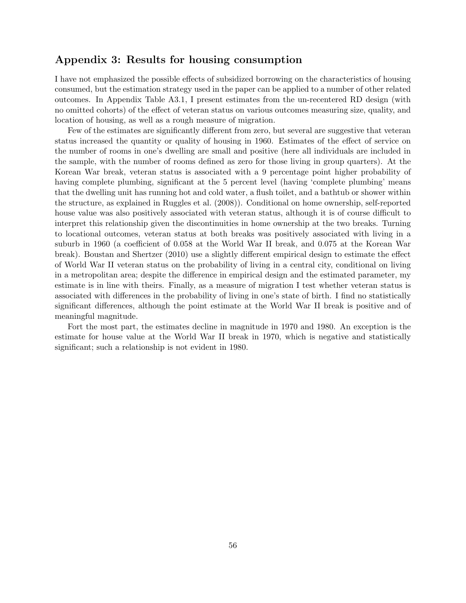# Appendix 3: Results for housing consumption

I have not emphasized the possible effects of subsidized borrowing on the characteristics of housing consumed, but the estimation strategy used in the paper can be applied to a number of other related outcomes. In Appendix Table A3.1, I present estimates from the un-recentered RD design (with no omitted cohorts) of the effect of veteran status on various outcomes measuring size, quality, and location of housing, as well as a rough measure of migration.

Few of the estimates are significantly different from zero, but several are suggestive that veteran status increased the quantity or quality of housing in 1960. Estimates of the effect of service on the number of rooms in one's dwelling are small and positive (here all individuals are included in the sample, with the number of rooms defined as zero for those living in group quarters). At the Korean War break, veteran status is associated with a 9 percentage point higher probability of having complete plumbing, significant at the 5 percent level (having 'complete plumbing' means that the dwelling unit has running hot and cold water, a flush toilet, and a bathtub or shower within the structure, as explained in Ruggles et al. (2008)). Conditional on home ownership, self-reported house value was also positively associated with veteran status, although it is of course difficult to interpret this relationship given the discontinuities in home ownership at the two breaks. Turning to locational outcomes, veteran status at both breaks was positively associated with living in a suburb in 1960 (a coefficient of 0.058 at the World War II break, and 0.075 at the Korean War break). Boustan and Shertzer (2010) use a slightly different empirical design to estimate the effect of World War II veteran status on the probability of living in a central city, conditional on living in a metropolitan area; despite the difference in empirical design and the estimated parameter, my estimate is in line with theirs. Finally, as a measure of migration I test whether veteran status is associated with differences in the probability of living in one's state of birth. I find no statistically significant differences, although the point estimate at the World War II break is positive and of meaningful magnitude.

Fort the most part, the estimates decline in magnitude in 1970 and 1980. An exception is the estimate for house value at the World War II break in 1970, which is negative and statistically significant; such a relationship is not evident in 1980.